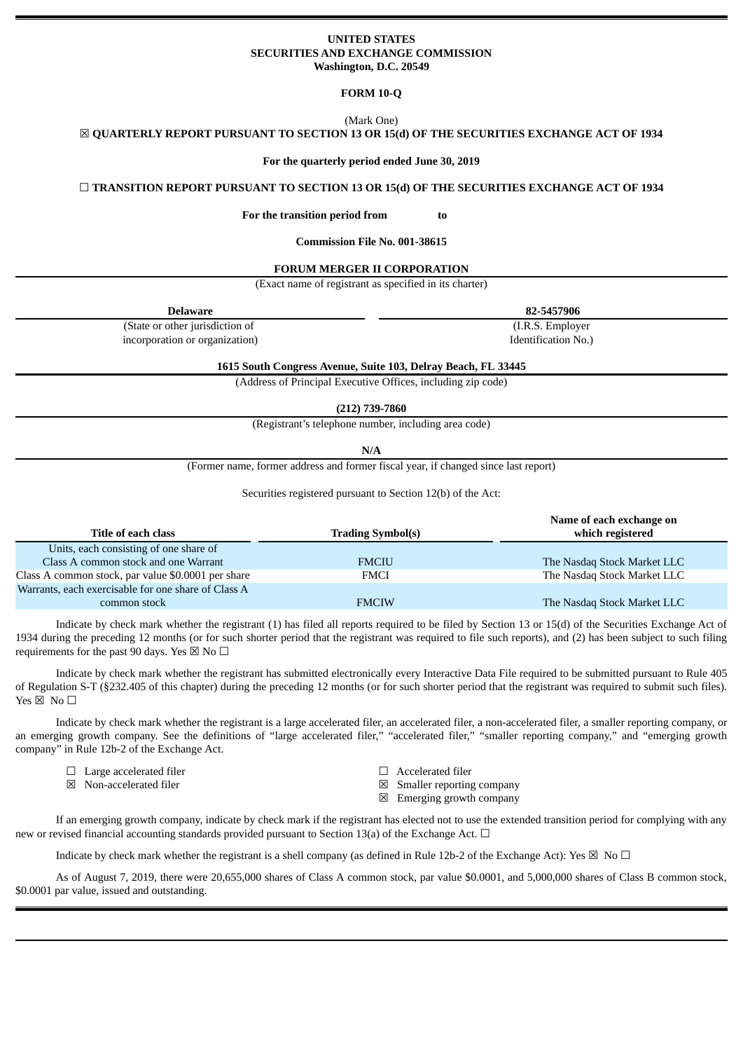### **UNITED STATES SECURITIES AND EXCHANGE COMMISSION Washington, D.C. 20549**

**FORM 10-Q**

(Mark One)

☒ **QUARTERLY REPORT PURSUANT TO SECTION 13 OR 15(d) OF THE SECURITIES EXCHANGE ACT OF 1934**

**For the quarterly period ended June 30, 2019**

☐ **TRANSITION REPORT PURSUANT TO SECTION 13 OR 15(d) OF THE SECURITIES EXCHANGE ACT OF 1934**

**For the transition period from to**

**Commission File No. 001-38615**

#### **FORUM MERGER II CORPORATION**

(Exact name of registrant as specified in its charter)

| <b>Delaware</b>                 | 82-5457906          |
|---------------------------------|---------------------|
| (State or other jurisdiction of | (I.R.S. Employer)   |
| incorporation or organization)  | Identification No.) |

**1615 South Congress Avenue, Suite 103, Delray Beach, FL 33445**

(Address of Principal Executive Offices, including zip code)

**(212) 739-7860**

(Registrant's telephone number, including area code)

**N/A**

(Former name, former address and former fiscal year, if changed since last report)

Securities registered pursuant to Section 12(b) of the Act:

|                                                     |                          | Name of each exchange on    |
|-----------------------------------------------------|--------------------------|-----------------------------|
| Title of each class                                 | <b>Trading Symbol(s)</b> | which registered            |
| Units, each consisting of one share of              |                          |                             |
| Class A common stock and one Warrant                | <b>FMCIU</b>             | The Nasdaq Stock Market LLC |
| Class A common stock, par value \$0.0001 per share  | FMCI                     | The Nasdag Stock Market LLC |
| Warrants, each exercisable for one share of Class A |                          |                             |
| common stock                                        | <b>FMCIW</b>             | The Nasdaq Stock Market LLC |

Indicate by check mark whether the registrant (1) has filed all reports required to be filed by Section 13 or 15(d) of the Securities Exchange Act of 1934 during the preceding 12 months (or for such shorter period that the registrant was required to file such reports), and (2) has been subject to such filing requirements for the past 90 days. Yes  $\boxtimes$  No  $\Box$ 

Indicate by check mark whether the registrant has submitted electronically every Interactive Data File required to be submitted pursuant to Rule 405 of Regulation S-T (§232.405 of this chapter) during the preceding 12 months (or for such shorter period that the registrant was required to submit such files). Yes  $\boxtimes$  No  $\square$ 

Indicate by check mark whether the registrant is a large accelerated filer, an accelerated filer, a non-accelerated filer, a smaller reporting company, or an emerging growth company. See the definitions of "large accelerated filer," "accelerated filer," "smaller reporting company," and "emerging growth company" in Rule 12b-2 of the Exchange Act.

- ☐ Large accelerated filer ☐ Accelerated filer
- 
- 
- $\boxtimes$  Non-accelerated filer  $\boxtimes$  Smaller reporting company
	- ☒ Emerging growth company

If an emerging growth company, indicate by check mark if the registrant has elected not to use the extended transition period for complying with any new or revised financial accounting standards provided pursuant to Section 13(a) of the Exchange Act.  $\Box$ 

Indicate by check mark whether the registrant is a shell company (as defined in Rule 12b-2 of the Exchange Act): Yes  $\boxtimes$  No  $\Box$ 

As of August 7, 2019, there were 20,655,000 shares of Class A common stock, par value \$0.0001, and 5,000,000 shares of Class B common stock, \$0.0001 par value, issued and outstanding.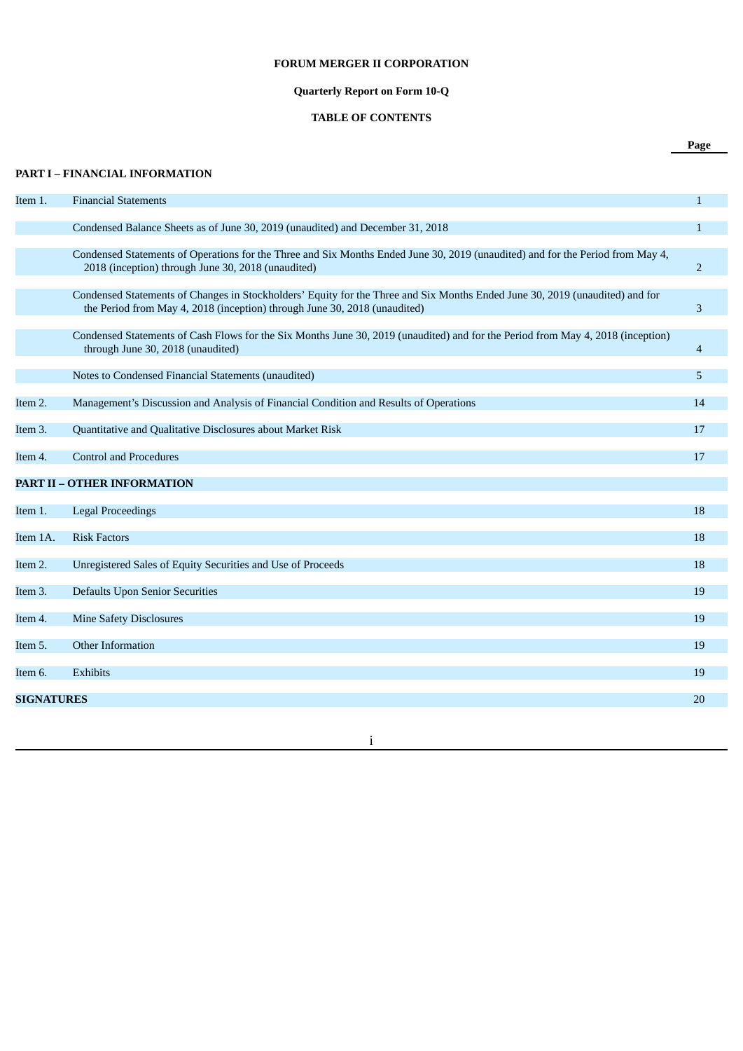## **FORUM MERGER II CORPORATION**

# **Quarterly Report on Form 10-Q**

# **TABLE OF CONTENTS**

**Page**

| Item 1.           | <b>Financial Statements</b>                                                                                                                                                                               | $\mathbf{1}$   |
|-------------------|-----------------------------------------------------------------------------------------------------------------------------------------------------------------------------------------------------------|----------------|
|                   | Condensed Balance Sheets as of June 30, 2019 (unaudited) and December 31, 2018                                                                                                                            | $\mathbf{1}$   |
|                   | Condensed Statements of Operations for the Three and Six Months Ended June 30, 2019 (unaudited) and for the Period from May 4,<br>2018 (inception) through June 30, 2018 (unaudited)                      | $\overline{2}$ |
|                   | Condensed Statements of Changes in Stockholders' Equity for the Three and Six Months Ended June 30, 2019 (unaudited) and for<br>the Period from May 4, 2018 (inception) through June 30, 2018 (unaudited) | 3              |
|                   | Condensed Statements of Cash Flows for the Six Months June 30, 2019 (unaudited) and for the Period from May 4, 2018 (inception)<br>through June 30, 2018 (unaudited)                                      | $\overline{4}$ |
|                   | Notes to Condensed Financial Statements (unaudited)                                                                                                                                                       | 5              |
| Item 2.           | Management's Discussion and Analysis of Financial Condition and Results of Operations                                                                                                                     | 14             |
| Item 3.           | Quantitative and Qualitative Disclosures about Market Risk                                                                                                                                                | 17             |
| Item 4.           | <b>Control and Procedures</b>                                                                                                                                                                             | 17             |
|                   | <b>PART II - OTHER INFORMATION</b>                                                                                                                                                                        |                |
| Item 1.           | <b>Legal Proceedings</b>                                                                                                                                                                                  | 18             |
| Item 1A.          | <b>Risk Factors</b>                                                                                                                                                                                       | 18             |
| Item 2.           | Unregistered Sales of Equity Securities and Use of Proceeds                                                                                                                                               | 18             |
| Item 3.           | <b>Defaults Upon Senior Securities</b>                                                                                                                                                                    | 19             |
| Item 4.           | <b>Mine Safety Disclosures</b>                                                                                                                                                                            | 19             |
| Item 5.           | Other Information                                                                                                                                                                                         | 19             |
| Item 6.           | Exhibits                                                                                                                                                                                                  | 19             |
| <b>SIGNATURES</b> |                                                                                                                                                                                                           | 20             |
|                   |                                                                                                                                                                                                           |                |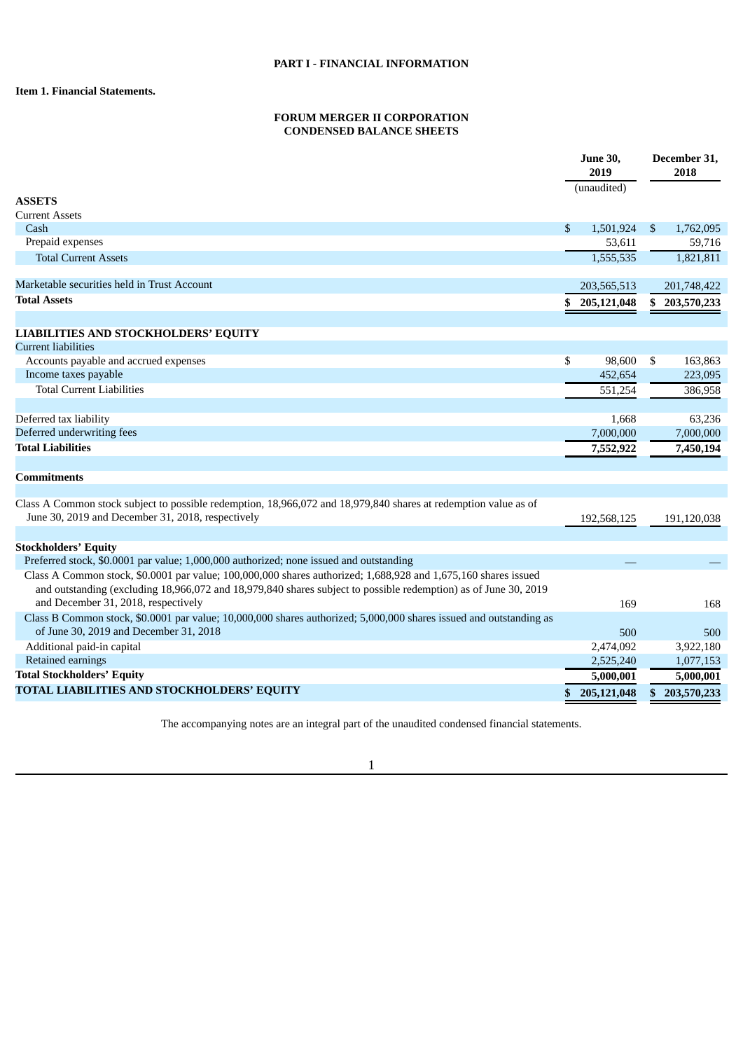## **Item 1. Financial Statements.**

## **FORUM MERGER II CORPORATION CONDENSED BALANCE SHEETS**

|                                                                                                                                                                                                                                                                          |    | <b>June 30,</b><br>2019<br>(unaudited) |                | December 31,<br>2018 |
|--------------------------------------------------------------------------------------------------------------------------------------------------------------------------------------------------------------------------------------------------------------------------|----|----------------------------------------|----------------|----------------------|
| <b>ASSETS</b>                                                                                                                                                                                                                                                            |    |                                        |                |                      |
| <b>Current Assets</b>                                                                                                                                                                                                                                                    |    |                                        |                |                      |
| Cash                                                                                                                                                                                                                                                                     | \$ | 1,501,924                              | $\mathfrak{S}$ | 1,762,095            |
| Prepaid expenses                                                                                                                                                                                                                                                         |    | 53,611                                 |                | 59,716               |
| <b>Total Current Assets</b>                                                                                                                                                                                                                                              |    | 1,555,535                              |                | 1,821,811            |
| Marketable securities held in Trust Account                                                                                                                                                                                                                              |    | 203,565,513                            |                | 201,748,422          |
| <b>Total Assets</b>                                                                                                                                                                                                                                                      | S  | 205,121,048                            | \$             | 203,570,233          |
| <b>LIABILITIES AND STOCKHOLDERS' EQUITY</b>                                                                                                                                                                                                                              |    |                                        |                |                      |
| Current liabilities                                                                                                                                                                                                                                                      |    |                                        |                |                      |
| Accounts payable and accrued expenses                                                                                                                                                                                                                                    | \$ | 98,600                                 | -\$            | 163,863              |
| Income taxes payable                                                                                                                                                                                                                                                     |    | 452,654                                |                | 223,095              |
| <b>Total Current Liabilities</b>                                                                                                                                                                                                                                         |    | 551,254                                |                | 386,958              |
| Deferred tax liability                                                                                                                                                                                                                                                   |    | 1,668                                  |                | 63,236               |
| Deferred underwriting fees                                                                                                                                                                                                                                               |    | 7,000,000                              |                | 7,000,000            |
| <b>Total Liabilities</b>                                                                                                                                                                                                                                                 |    | 7,552,922                              |                | 7,450,194            |
|                                                                                                                                                                                                                                                                          |    |                                        |                |                      |
| <b>Commitments</b>                                                                                                                                                                                                                                                       |    |                                        |                |                      |
| Class A Common stock subject to possible redemption, 18,966,072 and 18,979,840 shares at redemption value as of<br>June 30, 2019 and December 31, 2018, respectively                                                                                                     |    | 192,568,125                            |                | 191,120,038          |
| <b>Stockholders' Equity</b>                                                                                                                                                                                                                                              |    |                                        |                |                      |
| Preferred stock, \$0.0001 par value; 1,000,000 authorized; none issued and outstanding                                                                                                                                                                                   |    |                                        |                |                      |
| Class A Common stock, \$0.0001 par value; 100,000,000 shares authorized; 1,688,928 and 1,675,160 shares issued<br>and outstanding (excluding 18,966,072 and 18,979,840 shares subject to possible redemption) as of June 30, 2019<br>and December 31, 2018, respectively |    | 169                                    |                | 168                  |
| Class B Common stock, \$0.0001 par value; 10,000,000 shares authorized; 5,000,000 shares issued and outstanding as                                                                                                                                                       |    |                                        |                |                      |
| of June 30, 2019 and December 31, 2018                                                                                                                                                                                                                                   |    | 500                                    |                | 500                  |
| Additional paid-in capital                                                                                                                                                                                                                                               |    | 2,474,092                              |                | 3,922,180            |
| Retained earnings                                                                                                                                                                                                                                                        |    | 2,525,240                              |                | 1,077,153            |
| <b>Total Stockholders' Equity</b>                                                                                                                                                                                                                                        |    | 5,000,001                              |                | 5,000,001            |
| TOTAL LIABILITIES AND STOCKHOLDERS' EQUITY                                                                                                                                                                                                                               |    | 205,121,048                            | \$             | 203,570,233          |

The accompanying notes are an integral part of the unaudited condensed financial statements.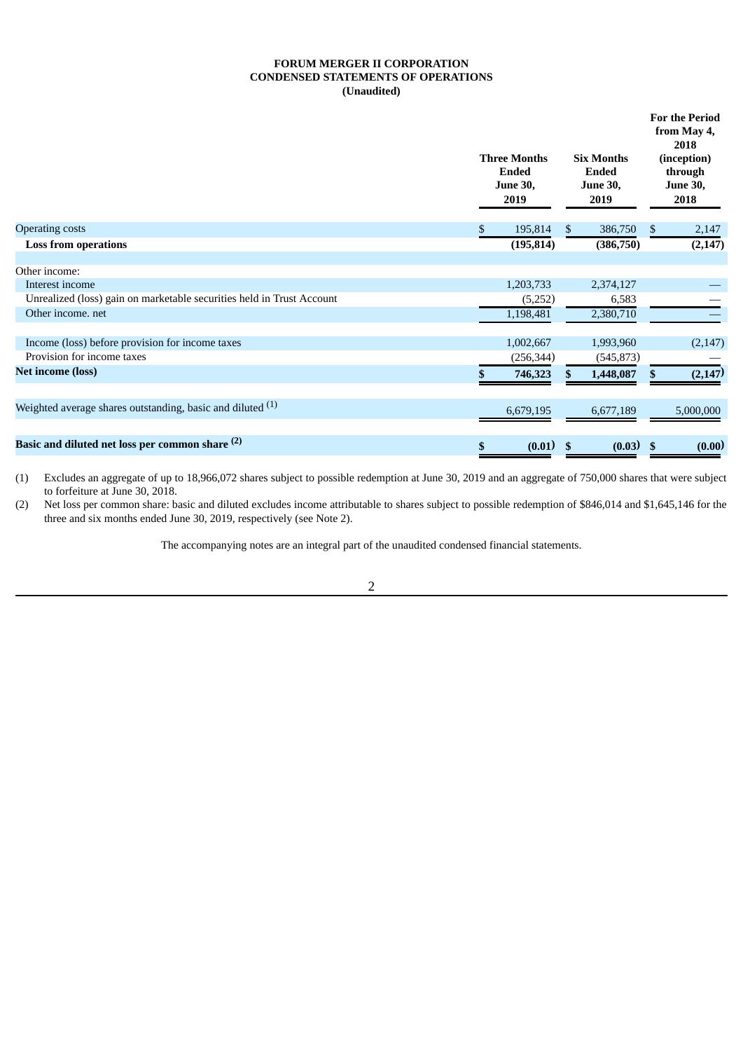## **FORUM MERGER II CORPORATION CONDENSED STATEMENTS OF OPERATIONS (Unaudited)**

|                                                                       | <b>Three Months</b><br><b>Ended</b><br><b>June 30,</b><br>2019 | <b>Six Months</b><br>Ended<br><b>June 30,</b><br>2019 | <b>For the Period</b><br>from May 4,<br>2018<br>(inception)<br>through<br><b>June 30,</b><br>2018 |           |  |
|-----------------------------------------------------------------------|----------------------------------------------------------------|-------------------------------------------------------|---------------------------------------------------------------------------------------------------|-----------|--|
| <b>Operating costs</b>                                                | 195,814<br>S.                                                  | \$<br>386,750                                         | \$                                                                                                | 2,147     |  |
| <b>Loss from operations</b>                                           | (195, 814)                                                     | (386, 750)                                            |                                                                                                   | (2, 147)  |  |
| Other income:                                                         |                                                                |                                                       |                                                                                                   |           |  |
| Interest income                                                       | 1,203,733                                                      | 2,374,127                                             |                                                                                                   |           |  |
| Unrealized (loss) gain on marketable securities held in Trust Account | (5,252)                                                        | 6,583                                                 |                                                                                                   |           |  |
| Other income, net                                                     | 1,198,481                                                      | 2,380,710                                             |                                                                                                   |           |  |
| Income (loss) before provision for income taxes                       | 1,002,667                                                      | 1,993,960                                             |                                                                                                   | (2, 147)  |  |
| Provision for income taxes                                            | (256, 344)                                                     | (545, 873)                                            |                                                                                                   |           |  |
| <b>Net income (loss)</b>                                              | 746,323                                                        | 1,448,087                                             |                                                                                                   | (2, 147)  |  |
| Weighted average shares outstanding, basic and diluted $(1)$          | 6,679,195                                                      | 6,677,189                                             |                                                                                                   | 5,000,000 |  |
| Basic and diluted net loss per common share (2)                       | $(0.01)$ \$<br>\$                                              | $(0.03)$ \$                                           |                                                                                                   | (0.00)    |  |

(1) Excludes an aggregate of up to 18,966,072 shares subject to possible redemption at June 30, 2019 and an aggregate of 750,000 shares that were subject to forfeiture at June 30, 2018.

(2) Net loss per common share: basic and diluted excludes income attributable to shares subject to possible redemption of \$846,014 and \$1,645,146 for the three and six months ended June 30, 2019, respectively (see Note 2).

The accompanying notes are an integral part of the unaudited condensed financial statements.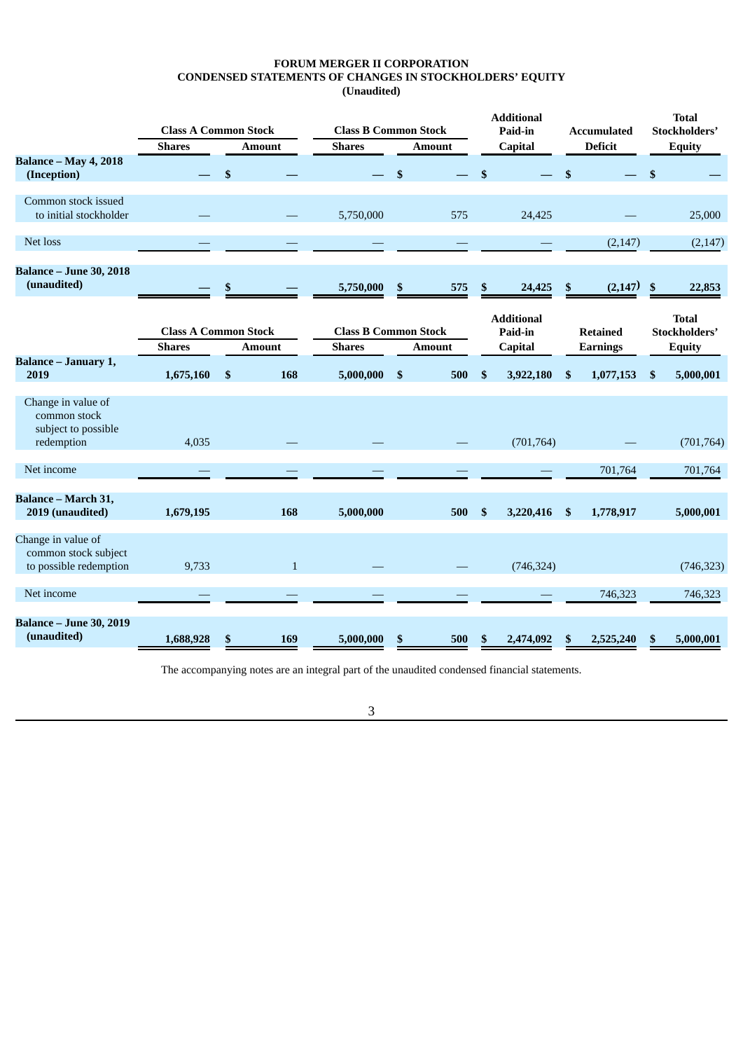## **FORUM MERGER II CORPORATION CONDENSED STATEMENTS OF CHANGES IN STOCKHOLDERS' EQUITY (Unaudited)**

|                                                                         | <b>Class A Common Stock</b>                  |              |              | <b>Class B Common Stock</b>                  |     | <b>Additional</b><br>Paid-in |              | <b>Accumulated</b>                      |              | <b>Total</b><br>Stockholders'      |                           |                                                |
|-------------------------------------------------------------------------|----------------------------------------------|--------------|--------------|----------------------------------------------|-----|------------------------------|--------------|-----------------------------------------|--------------|------------------------------------|---------------------------|------------------------------------------------|
|                                                                         | <b>Shares</b>                                |              | Amount       | <b>Shares</b>                                |     | <b>Amount</b>                |              | Capital                                 |              | <b>Deficit</b>                     |                           | <b>Equity</b>                                  |
| <b>Balance - May 4, 2018</b><br>(Inception)                             |                                              | $\mathbf{s}$ |              |                                              | \$  |                              | \$           |                                         | $\mathbf{s}$ |                                    | $\mathbf{s}$              |                                                |
| Common stock issued<br>to initial stockholder                           |                                              |              |              | 5,750,000                                    |     | 575                          |              | 24,425                                  |              |                                    |                           | 25,000                                         |
| Net loss                                                                |                                              |              |              |                                              |     |                              |              |                                         |              | (2, 147)                           |                           | (2, 147)                                       |
| <b>Balance - June 30, 2018</b><br>(unaudited)                           |                                              | \$           |              | 5,750,000                                    | \$  | 575                          | \$           | 24,425                                  | \$           | (2, 147)                           | $\boldsymbol{\mathsf{s}}$ | 22,853                                         |
|                                                                         | <b>Class A Common Stock</b><br><b>Shares</b> |              | Amount       | <b>Class B Common Stock</b><br><b>Shares</b> |     | <b>Amount</b>                |              | <b>Additional</b><br>Paid-in<br>Capital |              | <b>Retained</b><br><b>Earnings</b> |                           | <b>Total</b><br>Stockholders'<br><b>Equity</b> |
| <b>Balance - January 1,</b><br>2019                                     | 1,675,160                                    | \$           | 168          | 5,000,000                                    | -\$ | 500                          | \$           | 3,922,180                               | \$           | 1,077,153                          | \$                        | 5,000,001                                      |
| Change in value of<br>common stock<br>subject to possible<br>redemption | 4,035                                        |              |              |                                              |     |                              |              | (701, 764)                              |              |                                    |                           | (701, 764)                                     |
| Net income                                                              |                                              |              |              |                                              |     |                              |              |                                         |              | 701,764                            |                           | 701,764                                        |
| Balance - March 31,<br>2019 (unaudited)                                 | 1,679,195                                    |              | 168          | 5,000,000                                    |     | 500                          | $\mathbf{s}$ | 3,220,416                               | \$           | 1,778,917                          |                           | 5,000,001                                      |
| Change in value of<br>common stock subject<br>to possible redemption    | 9,733                                        |              | $\mathbf{1}$ |                                              |     |                              |              | (746, 324)                              |              |                                    |                           | (746, 323)                                     |
| Net income                                                              |                                              |              |              |                                              |     |                              |              |                                         |              | 746,323                            |                           | 746,323                                        |
| <b>Balance - June 30, 2019</b><br>(unaudited)                           | 1,688,928                                    | \$           | 169          | 5,000,000                                    | \$  | 500                          | \$           | 2,474,092                               | \$           | 2,525,240                          | \$                        | 5,000,001                                      |

The accompanying notes are an integral part of the unaudited condensed financial statements.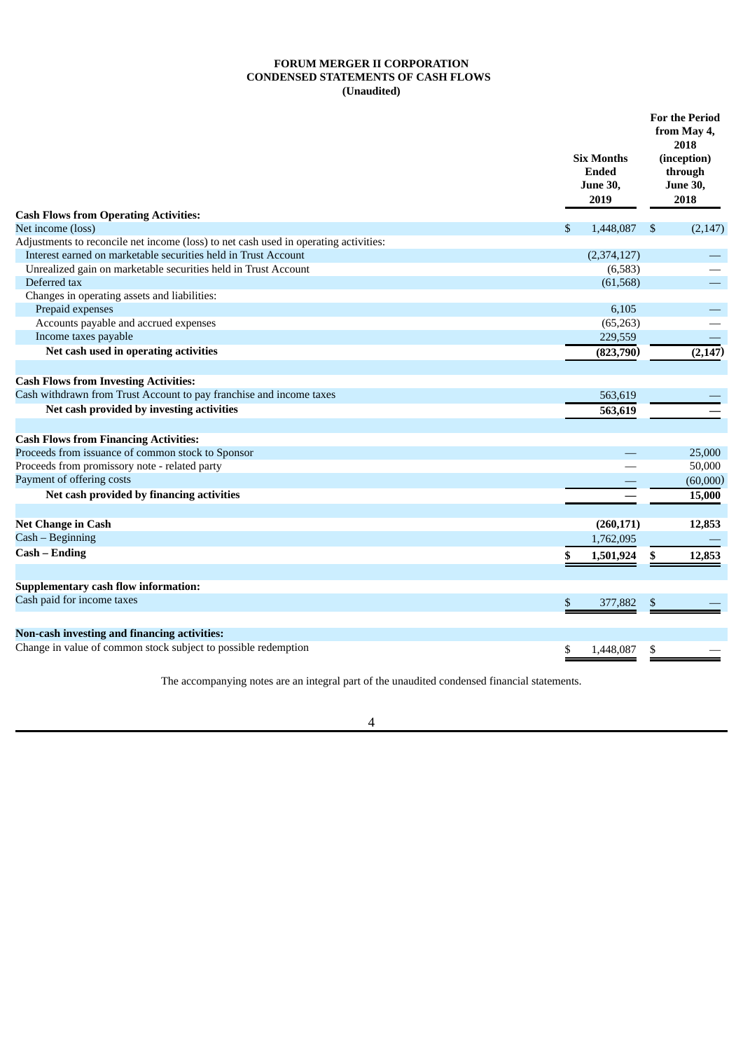## **FORUM MERGER II CORPORATION CONDENSED STATEMENTS OF CASH FLOWS (Unaudited)**

|                                                                                      | <b>Six Months</b><br><b>Ended</b><br><b>June 30,</b><br>2019 |               | <b>For the Period</b><br>from May 4,<br>2018<br>(inception)<br>through<br><b>June 30,</b><br>2018 |
|--------------------------------------------------------------------------------------|--------------------------------------------------------------|---------------|---------------------------------------------------------------------------------------------------|
| <b>Cash Flows from Operating Activities:</b><br>Net income (loss)                    | 1,448,087<br>\$.                                             | <sup>\$</sup> | (2, 147)                                                                                          |
| Adjustments to reconcile net income (loss) to net cash used in operating activities: |                                                              |               |                                                                                                   |
| Interest earned on marketable securities held in Trust Account                       | (2,374,127)                                                  |               |                                                                                                   |
| Unrealized gain on marketable securities held in Trust Account                       | (6,583)                                                      |               |                                                                                                   |
| Deferred tax                                                                         | (61, 568)                                                    |               |                                                                                                   |
| Changes in operating assets and liabilities:                                         |                                                              |               |                                                                                                   |
| Prepaid expenses                                                                     | 6,105                                                        |               |                                                                                                   |
| Accounts payable and accrued expenses                                                | (65, 263)                                                    |               |                                                                                                   |
| Income taxes payable                                                                 | 229,559                                                      |               |                                                                                                   |
| Net cash used in operating activities                                                | (823,790)                                                    |               | (2, 147)                                                                                          |
|                                                                                      |                                                              |               |                                                                                                   |
| <b>Cash Flows from Investing Activities:</b>                                         |                                                              |               |                                                                                                   |
| Cash withdrawn from Trust Account to pay franchise and income taxes                  | 563,619                                                      |               |                                                                                                   |
| Net cash provided by investing activities                                            | 563,619                                                      |               |                                                                                                   |
|                                                                                      |                                                              |               |                                                                                                   |
| <b>Cash Flows from Financing Activities:</b>                                         |                                                              |               |                                                                                                   |
| Proceeds from issuance of common stock to Sponsor                                    |                                                              |               | 25,000                                                                                            |
| Proceeds from promissory note - related party                                        |                                                              |               | 50,000                                                                                            |
| Payment of offering costs                                                            |                                                              |               | (60,000)                                                                                          |
| Net cash provided by financing activities                                            |                                                              |               | 15,000                                                                                            |
|                                                                                      |                                                              |               |                                                                                                   |
| <b>Net Change in Cash</b>                                                            | (260, 171)                                                   |               | 12,853                                                                                            |
| Cash - Beginning                                                                     | 1,762,095                                                    |               |                                                                                                   |
| Cash - Ending                                                                        | \$<br>1,501,924                                              | \$            | 12,853                                                                                            |
|                                                                                      |                                                              |               |                                                                                                   |
| <b>Supplementary cash flow information:</b>                                          |                                                              |               |                                                                                                   |
| Cash paid for income taxes                                                           | $\mathbb{S}$<br>377,882                                      | \$            |                                                                                                   |
|                                                                                      |                                                              |               |                                                                                                   |
| Non-cash investing and financing activities:                                         |                                                              |               |                                                                                                   |
| Change in value of common stock subject to possible redemption                       | 1,448,087<br>\$                                              | \$            |                                                                                                   |

The accompanying notes are an integral part of the unaudited condensed financial statements.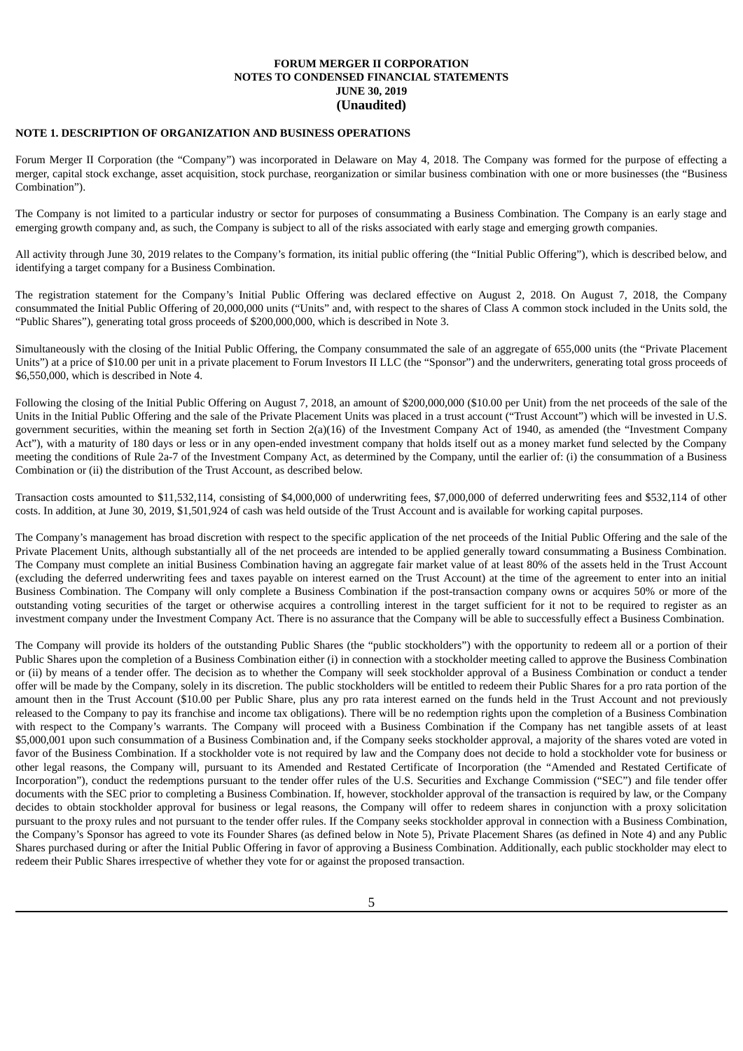### **NOTE 1. DESCRIPTION OF ORGANIZATION AND BUSINESS OPERATIONS**

Forum Merger II Corporation (the "Company") was incorporated in Delaware on May 4, 2018. The Company was formed for the purpose of effecting a merger, capital stock exchange, asset acquisition, stock purchase, reorganization or similar business combination with one or more businesses (the "Business Combination").

The Company is not limited to a particular industry or sector for purposes of consummating a Business Combination. The Company is an early stage and emerging growth company and, as such, the Company is subject to all of the risks associated with early stage and emerging growth companies.

All activity through June 30, 2019 relates to the Company's formation, its initial public offering (the "Initial Public Offering"), which is described below, and identifying a target company for a Business Combination.

The registration statement for the Company's Initial Public Offering was declared effective on August 2, 2018. On August 7, 2018, the Company consummated the Initial Public Offering of 20,000,000 units ("Units" and, with respect to the shares of Class A common stock included in the Units sold, the "Public Shares"), generating total gross proceeds of \$200,000,000, which is described in Note 3.

Simultaneously with the closing of the Initial Public Offering, the Company consummated the sale of an aggregate of 655,000 units (the "Private Placement Units") at a price of \$10.00 per unit in a private placement to Forum Investors II LLC (the "Sponsor") and the underwriters, generating total gross proceeds of \$6,550,000, which is described in Note 4.

Following the closing of the Initial Public Offering on August 7, 2018, an amount of \$200,000,000 (\$10.00 per Unit) from the net proceeds of the sale of the Units in the Initial Public Offering and the sale of the Private Placement Units was placed in a trust account ("Trust Account") which will be invested in U.S. government securities, within the meaning set forth in Section 2(a)(16) of the Investment Company Act of 1940, as amended (the "Investment Company Act"), with a maturity of 180 days or less or in any open-ended investment company that holds itself out as a money market fund selected by the Company meeting the conditions of Rule 2a-7 of the Investment Company Act, as determined by the Company, until the earlier of: (i) the consummation of a Business Combination or (ii) the distribution of the Trust Account, as described below.

Transaction costs amounted to \$11,532,114, consisting of \$4,000,000 of underwriting fees, \$7,000,000 of deferred underwriting fees and \$532,114 of other costs. In addition, at June 30, 2019, \$1,501,924 of cash was held outside of the Trust Account and is available for working capital purposes.

The Company's management has broad discretion with respect to the specific application of the net proceeds of the Initial Public Offering and the sale of the Private Placement Units, although substantially all of the net proceeds are intended to be applied generally toward consummating a Business Combination. The Company must complete an initial Business Combination having an aggregate fair market value of at least 80% of the assets held in the Trust Account (excluding the deferred underwriting fees and taxes payable on interest earned on the Trust Account) at the time of the agreement to enter into an initial Business Combination. The Company will only complete a Business Combination if the post-transaction company owns or acquires 50% or more of the outstanding voting securities of the target or otherwise acquires a controlling interest in the target sufficient for it not to be required to register as an investment company under the Investment Company Act. There is no assurance that the Company will be able to successfully effect a Business Combination.

The Company will provide its holders of the outstanding Public Shares (the "public stockholders") with the opportunity to redeem all or a portion of their Public Shares upon the completion of a Business Combination either (i) in connection with a stockholder meeting called to approve the Business Combination or (ii) by means of a tender offer. The decision as to whether the Company will seek stockholder approval of a Business Combination or conduct a tender offer will be made by the Company, solely in its discretion. The public stockholders will be entitled to redeem their Public Shares for a pro rata portion of the amount then in the Trust Account (\$10.00 per Public Share, plus any pro rata interest earned on the funds held in the Trust Account and not previously released to the Company to pay its franchise and income tax obligations). There will be no redemption rights upon the completion of a Business Combination with respect to the Company's warrants. The Company will proceed with a Business Combination if the Company has net tangible assets of at least \$5,000,001 upon such consummation of a Business Combination and, if the Company seeks stockholder approval, a majority of the shares voted are voted in favor of the Business Combination. If a stockholder vote is not required by law and the Company does not decide to hold a stockholder vote for business or other legal reasons, the Company will, pursuant to its Amended and Restated Certificate of Incorporation (the "Amended and Restated Certificate of Incorporation"), conduct the redemptions pursuant to the tender offer rules of the U.S. Securities and Exchange Commission ("SEC") and file tender offer documents with the SEC prior to completing a Business Combination. If, however, stockholder approval of the transaction is required by law, or the Company decides to obtain stockholder approval for business or legal reasons, the Company will offer to redeem shares in conjunction with a proxy solicitation pursuant to the proxy rules and not pursuant to the tender offer rules. If the Company seeks stockholder approval in connection with a Business Combination, the Company's Sponsor has agreed to vote its Founder Shares (as defined below in Note 5), Private Placement Shares (as defined in Note 4) and any Public Shares purchased during or after the Initial Public Offering in favor of approving a Business Combination. Additionally, each public stockholder may elect to redeem their Public Shares irrespective of whether they vote for or against the proposed transaction.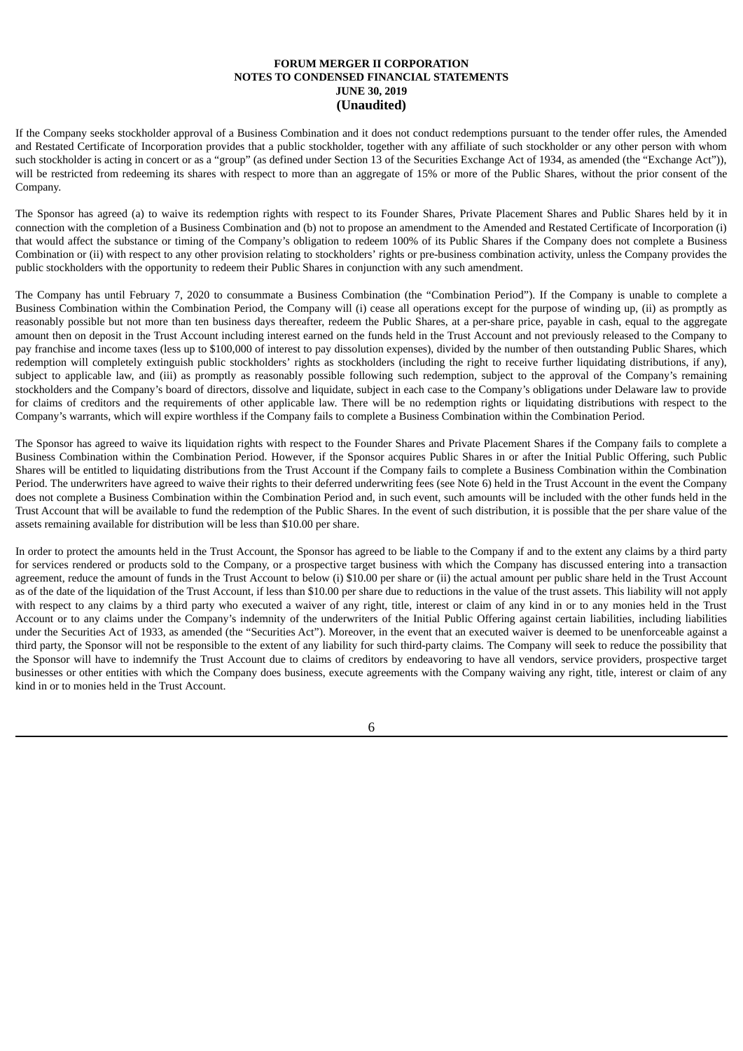If the Company seeks stockholder approval of a Business Combination and it does not conduct redemptions pursuant to the tender offer rules, the Amended and Restated Certificate of Incorporation provides that a public stockholder, together with any affiliate of such stockholder or any other person with whom such stockholder is acting in concert or as a "group" (as defined under Section 13 of the Securities Exchange Act of 1934, as amended (the "Exchange Act")), will be restricted from redeeming its shares with respect to more than an aggregate of 15% or more of the Public Shares, without the prior consent of the Company.

The Sponsor has agreed (a) to waive its redemption rights with respect to its Founder Shares, Private Placement Shares and Public Shares held by it in connection with the completion of a Business Combination and (b) not to propose an amendment to the Amended and Restated Certificate of Incorporation (i) that would affect the substance or timing of the Company's obligation to redeem 100% of its Public Shares if the Company does not complete a Business Combination or (ii) with respect to any other provision relating to stockholders' rights or pre-business combination activity, unless the Company provides the public stockholders with the opportunity to redeem their Public Shares in conjunction with any such amendment.

The Company has until February 7, 2020 to consummate a Business Combination (the "Combination Period"). If the Company is unable to complete a Business Combination within the Combination Period, the Company will (i) cease all operations except for the purpose of winding up, (ii) as promptly as reasonably possible but not more than ten business days thereafter, redeem the Public Shares, at a per-share price, payable in cash, equal to the aggregate amount then on deposit in the Trust Account including interest earned on the funds held in the Trust Account and not previously released to the Company to pay franchise and income taxes (less up to \$100,000 of interest to pay dissolution expenses), divided by the number of then outstanding Public Shares, which redemption will completely extinguish public stockholders' rights as stockholders (including the right to receive further liquidating distributions, if any), subject to applicable law, and (iii) as promptly as reasonably possible following such redemption, subject to the approval of the Company's remaining stockholders and the Company's board of directors, dissolve and liquidate, subject in each case to the Company's obligations under Delaware law to provide for claims of creditors and the requirements of other applicable law. There will be no redemption rights or liquidating distributions with respect to the Company's warrants, which will expire worthless if the Company fails to complete a Business Combination within the Combination Period.

The Sponsor has agreed to waive its liquidation rights with respect to the Founder Shares and Private Placement Shares if the Company fails to complete a Business Combination within the Combination Period. However, if the Sponsor acquires Public Shares in or after the Initial Public Offering, such Public Shares will be entitled to liquidating distributions from the Trust Account if the Company fails to complete a Business Combination within the Combination Period. The underwriters have agreed to waive their rights to their deferred underwriting fees (see Note 6) held in the Trust Account in the event the Company does not complete a Business Combination within the Combination Period and, in such event, such amounts will be included with the other funds held in the Trust Account that will be available to fund the redemption of the Public Shares. In the event of such distribution, it is possible that the per share value of the assets remaining available for distribution will be less than \$10.00 per share.

In order to protect the amounts held in the Trust Account, the Sponsor has agreed to be liable to the Company if and to the extent any claims by a third party for services rendered or products sold to the Company, or a prospective target business with which the Company has discussed entering into a transaction agreement, reduce the amount of funds in the Trust Account to below (i) \$10.00 per share or (ii) the actual amount per public share held in the Trust Account as of the date of the liquidation of the Trust Account, if less than \$10.00 per share due to reductions in the value of the trust assets. This liability will not apply with respect to any claims by a third party who executed a waiver of any right, title, interest or claim of any kind in or to any monies held in the Trust Account or to any claims under the Company's indemnity of the underwriters of the Initial Public Offering against certain liabilities, including liabilities under the Securities Act of 1933, as amended (the "Securities Act"). Moreover, in the event that an executed waiver is deemed to be unenforceable against a third party, the Sponsor will not be responsible to the extent of any liability for such third-party claims. The Company will seek to reduce the possibility that the Sponsor will have to indemnify the Trust Account due to claims of creditors by endeavoring to have all vendors, service providers, prospective target businesses or other entities with which the Company does business, execute agreements with the Company waiving any right, title, interest or claim of any kind in or to monies held in the Trust Account.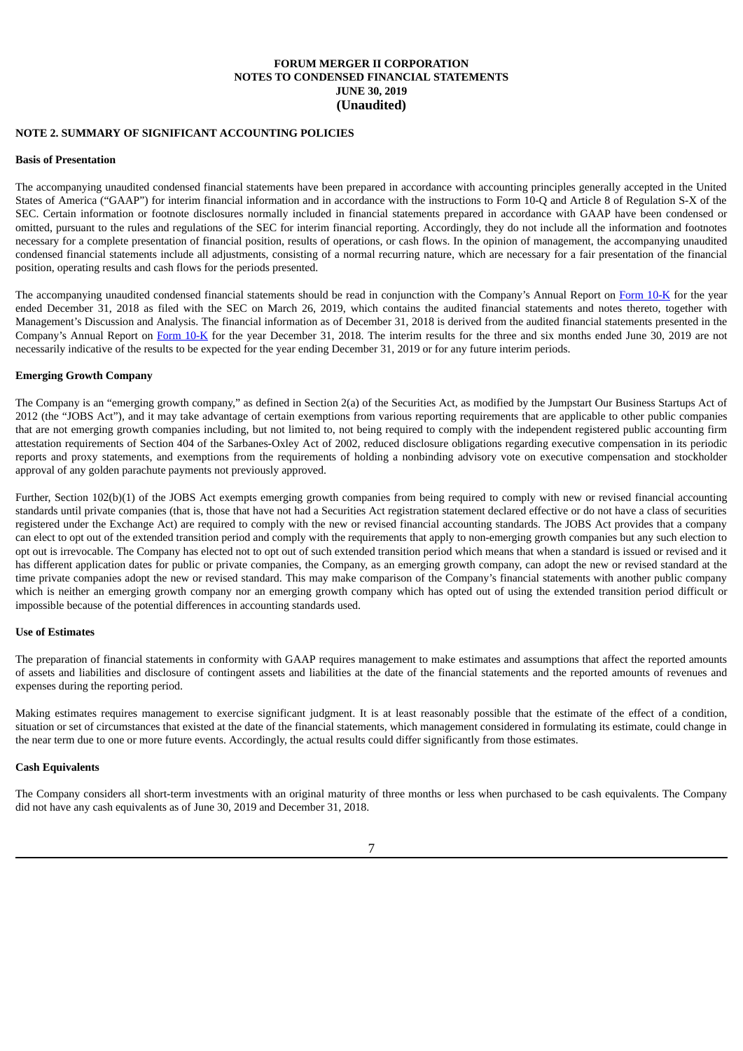## **NOTE 2. SUMMARY OF SIGNIFICANT ACCOUNTING POLICIES**

#### **Basis of Presentation**

The accompanying unaudited condensed financial statements have been prepared in accordance with accounting principles generally accepted in the United States of America ("GAAP") for interim financial information and in accordance with the instructions to Form 10-Q and Article 8 of Regulation S-X of the SEC. Certain information or footnote disclosures normally included in financial statements prepared in accordance with GAAP have been condensed or omitted, pursuant to the rules and regulations of the SEC for interim financial reporting. Accordingly, they do not include all the information and footnotes necessary for a complete presentation of financial position, results of operations, or cash flows. In the opinion of management, the accompanying unaudited condensed financial statements include all adjustments, consisting of a normal recurring nature, which are necessary for a fair presentation of the financial position, operating results and cash flows for the periods presented.

The accompanying unaudited condensed financial statements should be read in conjunction with the Company's Annual Report on [Form](http://www.sec.gov/Archives/edgar/data/1741231/000121390019004859/f10k2018_forummerger2.htm) 10-K for the year ended December 31, 2018 as filed with the SEC on March 26, 2019, which contains the audited financial statements and notes thereto, together with Management's Discussion and Analysis. The financial information as of December 31, 2018 is derived from the audited financial statements presented in the Company's Annual Report on [Form](http://www.sec.gov/Archives/edgar/data/1741231/000121390019004859/f10k2018_forummerger2.htm) 10-K for the year December 31, 2018. The interim results for the three and six months ended June 30, 2019 are not necessarily indicative of the results to be expected for the year ending December 31, 2019 or for any future interim periods.

### **Emerging Growth Company**

The Company is an "emerging growth company," as defined in Section 2(a) of the Securities Act, as modified by the Jumpstart Our Business Startups Act of 2012 (the "JOBS Act"), and it may take advantage of certain exemptions from various reporting requirements that are applicable to other public companies that are not emerging growth companies including, but not limited to, not being required to comply with the independent registered public accounting firm attestation requirements of Section 404 of the Sarbanes-Oxley Act of 2002, reduced disclosure obligations regarding executive compensation in its periodic reports and proxy statements, and exemptions from the requirements of holding a nonbinding advisory vote on executive compensation and stockholder approval of any golden parachute payments not previously approved.

Further, Section 102(b)(1) of the JOBS Act exempts emerging growth companies from being required to comply with new or revised financial accounting standards until private companies (that is, those that have not had a Securities Act registration statement declared effective or do not have a class of securities registered under the Exchange Act) are required to comply with the new or revised financial accounting standards. The JOBS Act provides that a company can elect to opt out of the extended transition period and comply with the requirements that apply to non-emerging growth companies but any such election to opt out is irrevocable. The Company has elected not to opt out of such extended transition period which means that when a standard is issued or revised and it has different application dates for public or private companies, the Company, as an emerging growth company, can adopt the new or revised standard at the time private companies adopt the new or revised standard. This may make comparison of the Company's financial statements with another public company which is neither an emerging growth company nor an emerging growth company which has opted out of using the extended transition period difficult or impossible because of the potential differences in accounting standards used.

#### **Use of Estimates**

The preparation of financial statements in conformity with GAAP requires management to make estimates and assumptions that affect the reported amounts of assets and liabilities and disclosure of contingent assets and liabilities at the date of the financial statements and the reported amounts of revenues and expenses during the reporting period.

Making estimates requires management to exercise significant judgment. It is at least reasonably possible that the estimate of the effect of a condition, situation or set of circumstances that existed at the date of the financial statements, which management considered in formulating its estimate, could change in the near term due to one or more future events. Accordingly, the actual results could differ significantly from those estimates.

### **Cash Equivalents**

The Company considers all short-term investments with an original maturity of three months or less when purchased to be cash equivalents. The Company did not have any cash equivalents as of June 30, 2019 and December 31, 2018.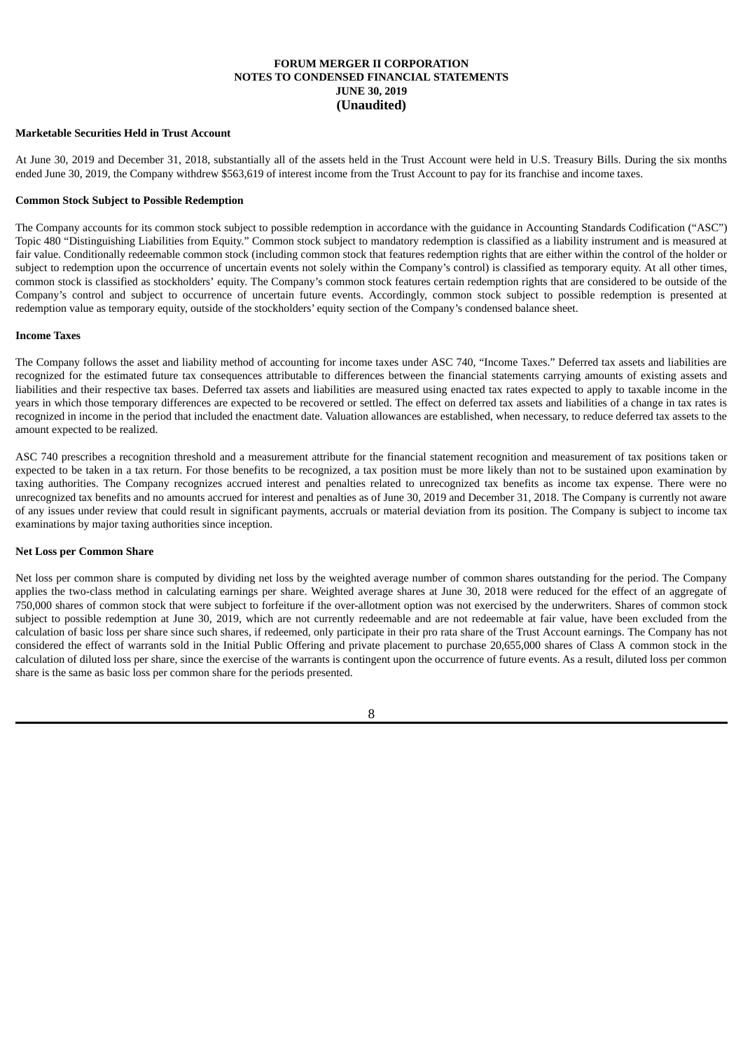## **Marketable Securities Held in Trust Account**

At June 30, 2019 and December 31, 2018, substantially all of the assets held in the Trust Account were held in U.S. Treasury Bills. During the six months ended June 30, 2019, the Company withdrew \$563,619 of interest income from the Trust Account to pay for its franchise and income taxes.

## **Common Stock Subject to Possible Redemption**

The Company accounts for its common stock subject to possible redemption in accordance with the guidance in Accounting Standards Codification ("ASC") Topic 480 "Distinguishing Liabilities from Equity." Common stock subject to mandatory redemption is classified as a liability instrument and is measured at fair value. Conditionally redeemable common stock (including common stock that features redemption rights that are either within the control of the holder or subject to redemption upon the occurrence of uncertain events not solely within the Company's control) is classified as temporary equity. At all other times, common stock is classified as stockholders' equity. The Company's common stock features certain redemption rights that are considered to be outside of the Company's control and subject to occurrence of uncertain future events. Accordingly, common stock subject to possible redemption is presented at redemption value as temporary equity, outside of the stockholders' equity section of the Company's condensed balance sheet.

### **Income Taxes**

The Company follows the asset and liability method of accounting for income taxes under ASC 740, "Income Taxes." Deferred tax assets and liabilities are recognized for the estimated future tax consequences attributable to differences between the financial statements carrying amounts of existing assets and liabilities and their respective tax bases. Deferred tax assets and liabilities are measured using enacted tax rates expected to apply to taxable income in the years in which those temporary differences are expected to be recovered or settled. The effect on deferred tax assets and liabilities of a change in tax rates is recognized in income in the period that included the enactment date. Valuation allowances are established, when necessary, to reduce deferred tax assets to the amount expected to be realized.

ASC 740 prescribes a recognition threshold and a measurement attribute for the financial statement recognition and measurement of tax positions taken or expected to be taken in a tax return. For those benefits to be recognized, a tax position must be more likely than not to be sustained upon examination by taxing authorities. The Company recognizes accrued interest and penalties related to unrecognized tax benefits as income tax expense. There were no unrecognized tax benefits and no amounts accrued for interest and penalties as of June 30, 2019 and December 31, 2018. The Company is currently not aware of any issues under review that could result in significant payments, accruals or material deviation from its position. The Company is subject to income tax examinations by major taxing authorities since inception.

## **Net Loss per Common Share**

Net loss per common share is computed by dividing net loss by the weighted average number of common shares outstanding for the period. The Company applies the two-class method in calculating earnings per share. Weighted average shares at June 30, 2018 were reduced for the effect of an aggregate of 750,000 shares of common stock that were subject to forfeiture if the over-allotment option was not exercised by the underwriters. Shares of common stock subject to possible redemption at June 30, 2019, which are not currently redeemable and are not redeemable at fair value, have been excluded from the calculation of basic loss per share since such shares, if redeemed, only participate in their pro rata share of the Trust Account earnings. The Company has not considered the effect of warrants sold in the Initial Public Offering and private placement to purchase 20,655,000 shares of Class A common stock in the calculation of diluted loss per share, since the exercise of the warrants is contingent upon the occurrence of future events. As a result, diluted loss per common share is the same as basic loss per common share for the periods presented.

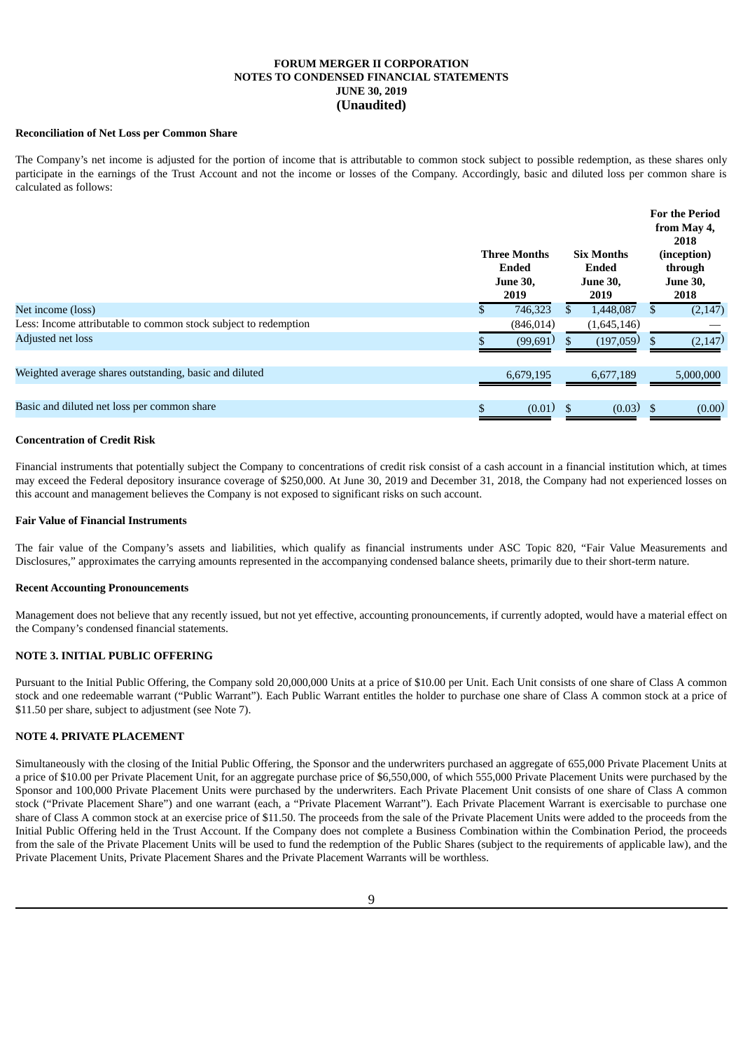### **Reconciliation of Net Loss per Common Share**

The Company's net income is adjusted for the portion of income that is attributable to common stock subject to possible redemption, as these shares only participate in the earnings of the Trust Account and not the income or losses of the Company. Accordingly, basic and diluted loss per common share is calculated as follows:

|                                                                 | <b>Three Months</b><br>Ended<br><b>June 30,</b><br>2019 | <b>Six Months</b><br>Ended<br><b>June 30,</b><br>2019 |    | <b>For the Period</b><br>from May 4,<br>2018<br>(inception)<br>through<br><b>June 30,</b><br>2018 |
|-----------------------------------------------------------------|---------------------------------------------------------|-------------------------------------------------------|----|---------------------------------------------------------------------------------------------------|
| Net income (loss)                                               | 746,323                                                 | \$<br>1,448,087                                       |    | (2, 147)                                                                                          |
| Less: Income attributable to common stock subject to redemption | (846, 014)                                              | (1,645,146)                                           |    |                                                                                                   |
| Adjusted net loss                                               | (99,691)                                                | (197,059)                                             | S. | (2, 147)                                                                                          |
| Weighted average shares outstanding, basic and diluted          | 6.679.195                                               | 6.677.189                                             |    | 5,000,000                                                                                         |
| Basic and diluted net loss per common share                     | $(0.01)$ \$                                             | $(0.03)$ \$                                           |    | (0.00)                                                                                            |

### **Concentration of Credit Risk**

Financial instruments that potentially subject the Company to concentrations of credit risk consist of a cash account in a financial institution which, at times may exceed the Federal depository insurance coverage of \$250,000. At June 30, 2019 and December 31, 2018, the Company had not experienced losses on this account and management believes the Company is not exposed to significant risks on such account.

## **Fair Value of Financial Instruments**

The fair value of the Company's assets and liabilities, which qualify as financial instruments under ASC Topic 820, "Fair Value Measurements and Disclosures," approximates the carrying amounts represented in the accompanying condensed balance sheets, primarily due to their short-term nature.

#### **Recent Accounting Pronouncements**

Management does not believe that any recently issued, but not yet effective, accounting pronouncements, if currently adopted, would have a material effect on the Company's condensed financial statements.

#### **NOTE 3. INITIAL PUBLIC OFFERING**

Pursuant to the Initial Public Offering, the Company sold 20,000,000 Units at a price of \$10.00 per Unit. Each Unit consists of one share of Class A common stock and one redeemable warrant ("Public Warrant"). Each Public Warrant entitles the holder to purchase one share of Class A common stock at a price of \$11.50 per share, subject to adjustment (see Note 7).

## **NOTE 4. PRIVATE PLACEMENT**

Simultaneously with the closing of the Initial Public Offering, the Sponsor and the underwriters purchased an aggregate of 655,000 Private Placement Units at a price of \$10.00 per Private Placement Unit, for an aggregate purchase price of \$6,550,000, of which 555,000 Private Placement Units were purchased by the Sponsor and 100,000 Private Placement Units were purchased by the underwriters. Each Private Placement Unit consists of one share of Class A common stock ("Private Placement Share") and one warrant (each, a "Private Placement Warrant"). Each Private Placement Warrant is exercisable to purchase one share of Class A common stock at an exercise price of \$11.50. The proceeds from the sale of the Private Placement Units were added to the proceeds from the Initial Public Offering held in the Trust Account. If the Company does not complete a Business Combination within the Combination Period, the proceeds from the sale of the Private Placement Units will be used to fund the redemption of the Public Shares (subject to the requirements of applicable law), and the Private Placement Units, Private Placement Shares and the Private Placement Warrants will be worthless.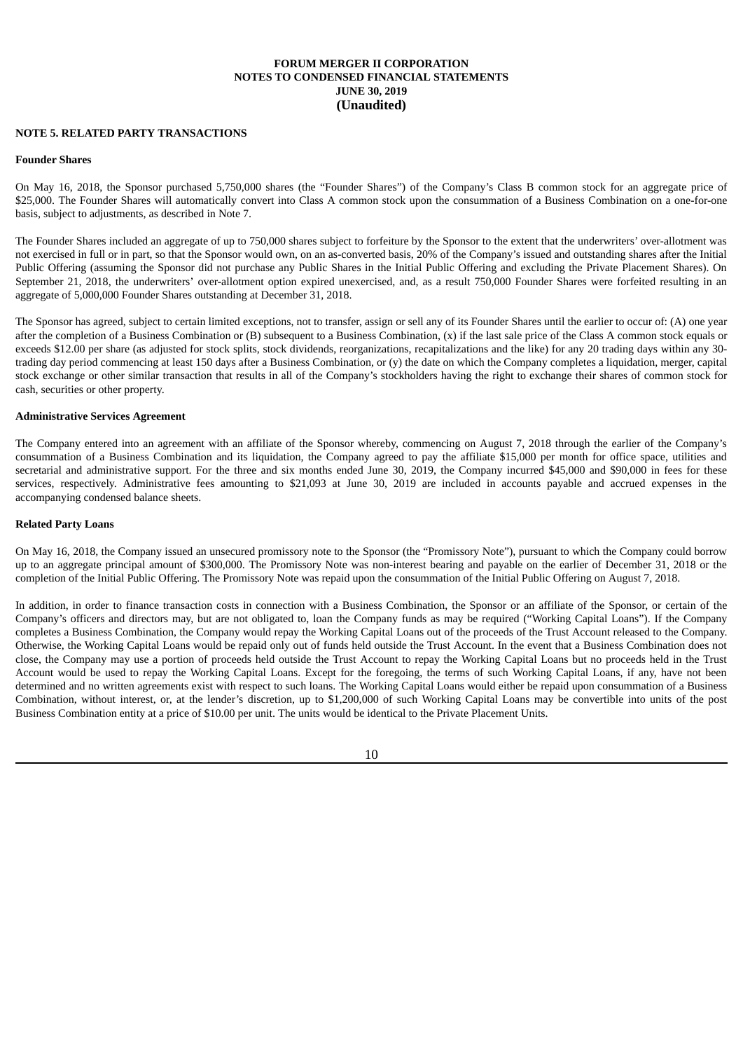### **NOTE 5. RELATED PARTY TRANSACTIONS**

#### **Founder Shares**

On May 16, 2018, the Sponsor purchased 5,750,000 shares (the "Founder Shares") of the Company's Class B common stock for an aggregate price of \$25,000. The Founder Shares will automatically convert into Class A common stock upon the consummation of a Business Combination on a one-for-one basis, subject to adjustments, as described in Note 7.

The Founder Shares included an aggregate of up to 750,000 shares subject to forfeiture by the Sponsor to the extent that the underwriters' over-allotment was not exercised in full or in part, so that the Sponsor would own, on an as-converted basis, 20% of the Company's issued and outstanding shares after the Initial Public Offering (assuming the Sponsor did not purchase any Public Shares in the Initial Public Offering and excluding the Private Placement Shares). On September 21, 2018, the underwriters' over-allotment option expired unexercised, and, as a result 750,000 Founder Shares were forfeited resulting in an aggregate of 5,000,000 Founder Shares outstanding at December 31, 2018.

The Sponsor has agreed, subject to certain limited exceptions, not to transfer, assign or sell any of its Founder Shares until the earlier to occur of: (A) one year after the completion of a Business Combination or (B) subsequent to a Business Combination, (x) if the last sale price of the Class A common stock equals or exceeds \$12.00 per share (as adjusted for stock splits, stock dividends, reorganizations, recapitalizations and the like) for any 20 trading days within any 30 trading day period commencing at least 150 days after a Business Combination, or (y) the date on which the Company completes a liquidation, merger, capital stock exchange or other similar transaction that results in all of the Company's stockholders having the right to exchange their shares of common stock for cash, securities or other property.

### **Administrative Services Agreement**

The Company entered into an agreement with an affiliate of the Sponsor whereby, commencing on August 7, 2018 through the earlier of the Company's consummation of a Business Combination and its liquidation, the Company agreed to pay the affiliate \$15,000 per month for office space, utilities and secretarial and administrative support. For the three and six months ended June 30, 2019, the Company incurred \$45,000 and \$90,000 in fees for these services, respectively. Administrative fees amounting to \$21,093 at June 30, 2019 are included in accounts payable and accrued expenses in the accompanying condensed balance sheets.

#### **Related Party Loans**

On May 16, 2018, the Company issued an unsecured promissory note to the Sponsor (the "Promissory Note"), pursuant to which the Company could borrow up to an aggregate principal amount of \$300,000. The Promissory Note was non-interest bearing and payable on the earlier of December 31, 2018 or the completion of the Initial Public Offering. The Promissory Note was repaid upon the consummation of the Initial Public Offering on August 7, 2018.

In addition, in order to finance transaction costs in connection with a Business Combination, the Sponsor or an affiliate of the Sponsor, or certain of the Company's officers and directors may, but are not obligated to, loan the Company funds as may be required ("Working Capital Loans"). If the Company completes a Business Combination, the Company would repay the Working Capital Loans out of the proceeds of the Trust Account released to the Company. Otherwise, the Working Capital Loans would be repaid only out of funds held outside the Trust Account. In the event that a Business Combination does not close, the Company may use a portion of proceeds held outside the Trust Account to repay the Working Capital Loans but no proceeds held in the Trust Account would be used to repay the Working Capital Loans. Except for the foregoing, the terms of such Working Capital Loans, if any, have not been determined and no written agreements exist with respect to such loans. The Working Capital Loans would either be repaid upon consummation of a Business Combination, without interest, or, at the lender's discretion, up to \$1,200,000 of such Working Capital Loans may be convertible into units of the post Business Combination entity at a price of \$10.00 per unit. The units would be identical to the Private Placement Units.

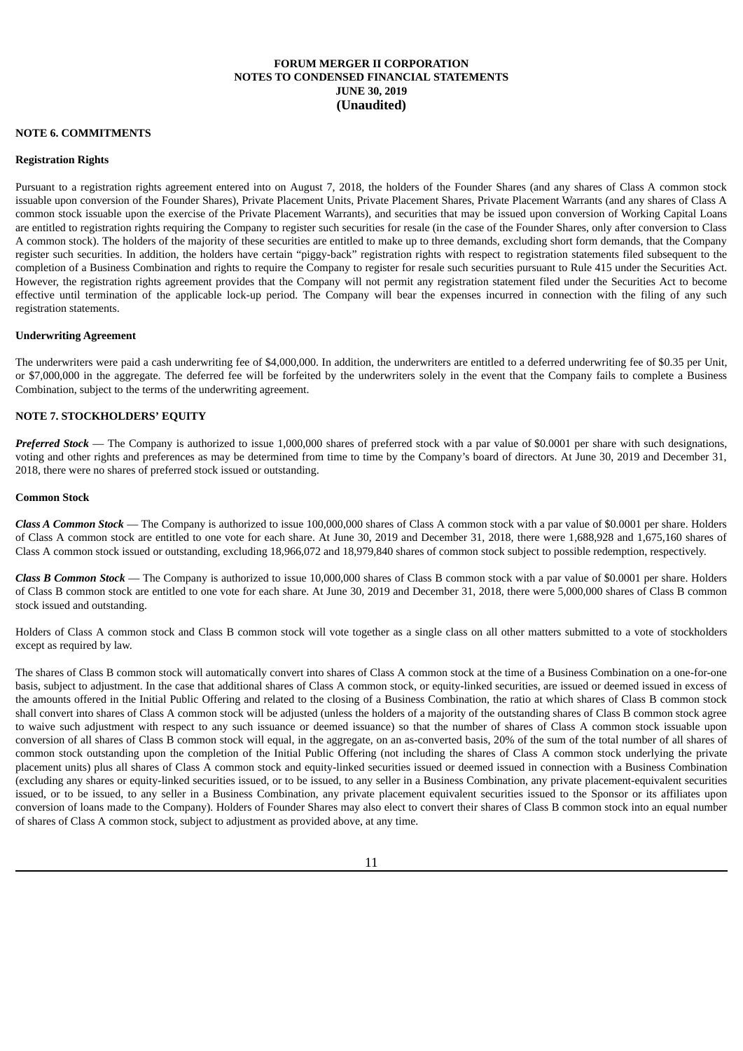#### **NOTE 6. COMMITMENTS**

### **Registration Rights**

Pursuant to a registration rights agreement entered into on August 7, 2018, the holders of the Founder Shares (and any shares of Class A common stock issuable upon conversion of the Founder Shares), Private Placement Units, Private Placement Shares, Private Placement Warrants (and any shares of Class A common stock issuable upon the exercise of the Private Placement Warrants), and securities that may be issued upon conversion of Working Capital Loans are entitled to registration rights requiring the Company to register such securities for resale (in the case of the Founder Shares, only after conversion to Class A common stock). The holders of the majority of these securities are entitled to make up to three demands, excluding short form demands, that the Company register such securities. In addition, the holders have certain "piggy-back" registration rights with respect to registration statements filed subsequent to the completion of a Business Combination and rights to require the Company to register for resale such securities pursuant to Rule 415 under the Securities Act. However, the registration rights agreement provides that the Company will not permit any registration statement filed under the Securities Act to become effective until termination of the applicable lock-up period. The Company will bear the expenses incurred in connection with the filing of any such registration statements.

#### **Underwriting Agreement**

The underwriters were paid a cash underwriting fee of \$4,000,000. In addition, the underwriters are entitled to a deferred underwriting fee of \$0.35 per Unit, or \$7,000,000 in the aggregate. The deferred fee will be forfeited by the underwriters solely in the event that the Company fails to complete a Business Combination, subject to the terms of the underwriting agreement.

## **NOTE 7. STOCKHOLDERS' EQUITY**

*Preferred Stock* — The Company is authorized to issue 1,000,000 shares of preferred stock with a par value of \$0.0001 per share with such designations, voting and other rights and preferences as may be determined from time to time by the Company's board of directors. At June 30, 2019 and December 31, 2018, there were no shares of preferred stock issued or outstanding.

### **Common Stock**

*Class A Common Stock* — The Company is authorized to issue 100,000,000 shares of Class A common stock with a par value of \$0.0001 per share. Holders of Class A common stock are entitled to one vote for each share. At June 30, 2019 and December 31, 2018, there were 1,688,928 and 1,675,160 shares of Class A common stock issued or outstanding, excluding 18,966,072 and 18,979,840 shares of common stock subject to possible redemption, respectively.

*Class B Common Stock* — The Company is authorized to issue 10,000,000 shares of Class B common stock with a par value of \$0.0001 per share. Holders of Class B common stock are entitled to one vote for each share. At June 30, 2019 and December 31, 2018, there were 5,000,000 shares of Class B common stock issued and outstanding.

Holders of Class A common stock and Class B common stock will vote together as a single class on all other matters submitted to a vote of stockholders except as required by law.

The shares of Class B common stock will automatically convert into shares of Class A common stock at the time of a Business Combination on a one-for-one basis, subject to adjustment. In the case that additional shares of Class A common stock, or equity-linked securities, are issued or deemed issued in excess of the amounts offered in the Initial Public Offering and related to the closing of a Business Combination, the ratio at which shares of Class B common stock shall convert into shares of Class A common stock will be adjusted (unless the holders of a majority of the outstanding shares of Class B common stock agree to waive such adjustment with respect to any such issuance or deemed issuance) so that the number of shares of Class A common stock issuable upon conversion of all shares of Class B common stock will equal, in the aggregate, on an as-converted basis, 20% of the sum of the total number of all shares of common stock outstanding upon the completion of the Initial Public Offering (not including the shares of Class A common stock underlying the private placement units) plus all shares of Class A common stock and equity-linked securities issued or deemed issued in connection with a Business Combination (excluding any shares or equity-linked securities issued, or to be issued, to any seller in a Business Combination, any private placement-equivalent securities issued, or to be issued, to any seller in a Business Combination, any private placement equivalent securities issued to the Sponsor or its affiliates upon conversion of loans made to the Company). Holders of Founder Shares may also elect to convert their shares of Class B common stock into an equal number of shares of Class A common stock, subject to adjustment as provided above, at any time.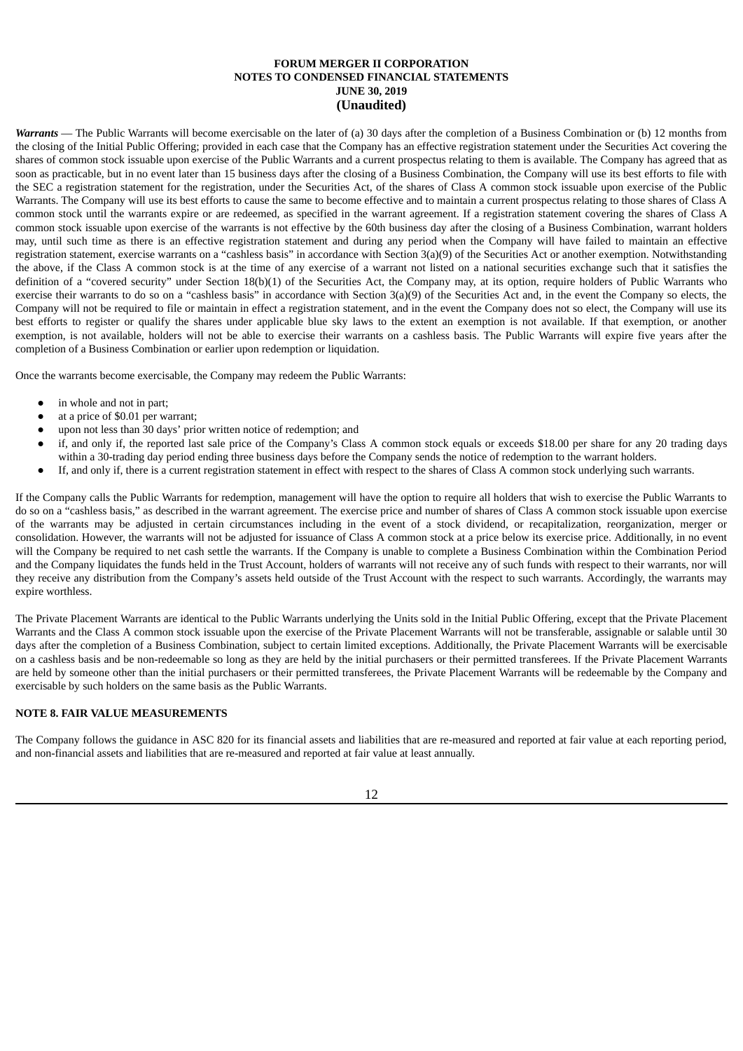*Warrants* — The Public Warrants will become exercisable on the later of (a) 30 days after the completion of a Business Combination or (b) 12 months from the closing of the Initial Public Offering; provided in each case that the Company has an effective registration statement under the Securities Act covering the shares of common stock issuable upon exercise of the Public Warrants and a current prospectus relating to them is available. The Company has agreed that as soon as practicable, but in no event later than 15 business days after the closing of a Business Combination, the Company will use its best efforts to file with the SEC a registration statement for the registration, under the Securities Act, of the shares of Class A common stock issuable upon exercise of the Public Warrants. The Company will use its best efforts to cause the same to become effective and to maintain a current prospectus relating to those shares of Class A common stock until the warrants expire or are redeemed, as specified in the warrant agreement. If a registration statement covering the shares of Class A common stock issuable upon exercise of the warrants is not effective by the 60th business day after the closing of a Business Combination, warrant holders may, until such time as there is an effective registration statement and during any period when the Company will have failed to maintain an effective registration statement, exercise warrants on a "cashless basis" in accordance with Section 3(a)(9) of the Securities Act or another exemption. Notwithstanding the above, if the Class A common stock is at the time of any exercise of a warrant not listed on a national securities exchange such that it satisfies the definition of a "covered security" under Section 18(b)(1) of the Securities Act, the Company may, at its option, require holders of Public Warrants who exercise their warrants to do so on a "cashless basis" in accordance with Section 3(a)(9) of the Securities Act and, in the event the Company so elects, the Company will not be required to file or maintain in effect a registration statement, and in the event the Company does not so elect, the Company will use its best efforts to register or qualify the shares under applicable blue sky laws to the extent an exemption is not available. If that exemption, or another exemption, is not available, holders will not be able to exercise their warrants on a cashless basis. The Public Warrants will expire five years after the completion of a Business Combination or earlier upon redemption or liquidation.

Once the warrants become exercisable, the Company may redeem the Public Warrants:

- in whole and not in part;
- at a price of \$0.01 per warrant;
- upon not less than 30 days' prior written notice of redemption; and
- if, and only if, the reported last sale price of the Company's Class A common stock equals or exceeds \$18.00 per share for any 20 trading days within a 30-trading day period ending three business days before the Company sends the notice of redemption to the warrant holders.
- If, and only if, there is a current registration statement in effect with respect to the shares of Class A common stock underlying such warrants.

If the Company calls the Public Warrants for redemption, management will have the option to require all holders that wish to exercise the Public Warrants to do so on a "cashless basis," as described in the warrant agreement. The exercise price and number of shares of Class A common stock issuable upon exercise of the warrants may be adjusted in certain circumstances including in the event of a stock dividend, or recapitalization, reorganization, merger or consolidation. However, the warrants will not be adjusted for issuance of Class A common stock at a price below its exercise price. Additionally, in no event will the Company be required to net cash settle the warrants. If the Company is unable to complete a Business Combination within the Combination Period and the Company liquidates the funds held in the Trust Account, holders of warrants will not receive any of such funds with respect to their warrants, nor will they receive any distribution from the Company's assets held outside of the Trust Account with the respect to such warrants. Accordingly, the warrants may expire worthless.

The Private Placement Warrants are identical to the Public Warrants underlying the Units sold in the Initial Public Offering, except that the Private Placement Warrants and the Class A common stock issuable upon the exercise of the Private Placement Warrants will not be transferable, assignable or salable until 30 days after the completion of a Business Combination, subject to certain limited exceptions. Additionally, the Private Placement Warrants will be exercisable on a cashless basis and be non-redeemable so long as they are held by the initial purchasers or their permitted transferees. If the Private Placement Warrants are held by someone other than the initial purchasers or their permitted transferees, the Private Placement Warrants will be redeemable by the Company and exercisable by such holders on the same basis as the Public Warrants.

## **NOTE 8. FAIR VALUE MEASUREMENTS**

The Company follows the guidance in ASC 820 for its financial assets and liabilities that are re-measured and reported at fair value at each reporting period, and non-financial assets and liabilities that are re-measured and reported at fair value at least annually.

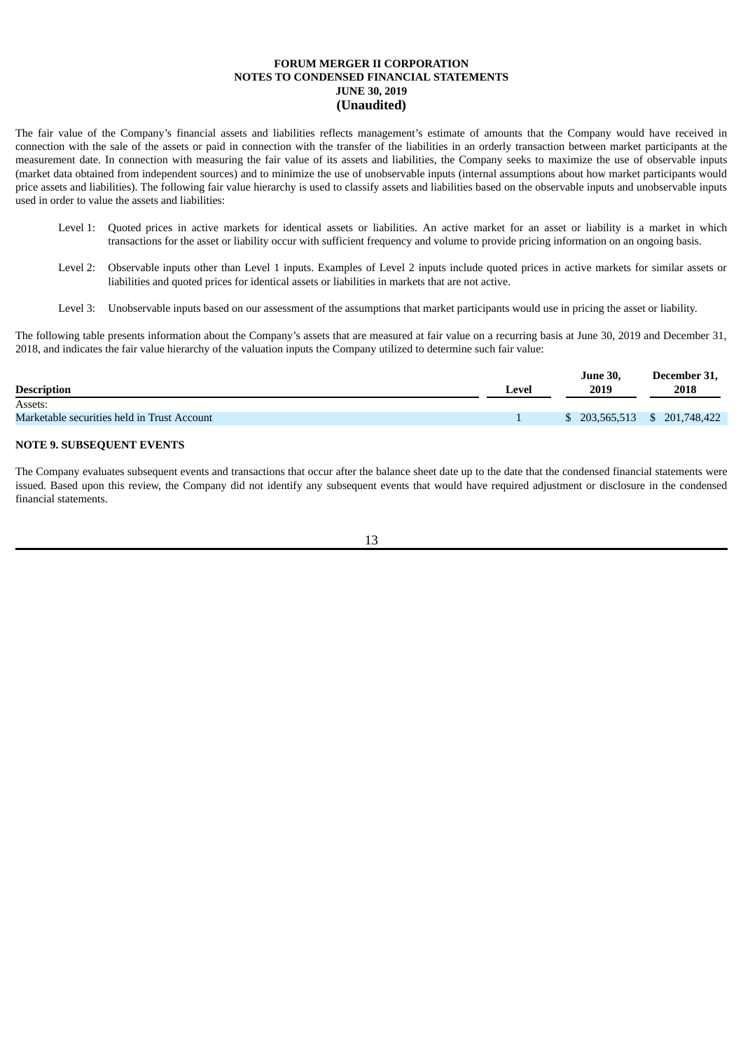The fair value of the Company's financial assets and liabilities reflects management's estimate of amounts that the Company would have received in connection with the sale of the assets or paid in connection with the transfer of the liabilities in an orderly transaction between market participants at the measurement date. In connection with measuring the fair value of its assets and liabilities, the Company seeks to maximize the use of observable inputs (market data obtained from independent sources) and to minimize the use of unobservable inputs (internal assumptions about how market participants would price assets and liabilities). The following fair value hierarchy is used to classify assets and liabilities based on the observable inputs and unobservable inputs used in order to value the assets and liabilities:

- Level 1: Quoted prices in active markets for identical assets or liabilities. An active market for an asset or liability is a market in which transactions for the asset or liability occur with sufficient frequency and volume to provide pricing information on an ongoing basis.
- Level 2: Observable inputs other than Level 1 inputs. Examples of Level 2 inputs include quoted prices in active markets for similar assets or liabilities and quoted prices for identical assets or liabilities in markets that are not active.
- Level 3: Unobservable inputs based on our assessment of the assumptions that market participants would use in pricing the asset or liability.

The following table presents information about the Company's assets that are measured at fair value on a recurring basis at June 30, 2019 and December 31, 2018, and indicates the fair value hierarchy of the valuation inputs the Company utilized to determine such fair value:

|                                             |       | <b>June 30,</b>               | December 31, |
|---------------------------------------------|-------|-------------------------------|--------------|
| <b>Description</b>                          | Level | 2019                          | 2018         |
| Assets:                                     |       |                               |              |
| Marketable securities held in Trust Account |       | $$203,565,513 \t$201,748,422$ |              |
|                                             |       |                               |              |

## **NOTE 9. SUBSEQUENT EVENTS**

The Company evaluates subsequent events and transactions that occur after the balance sheet date up to the date that the condensed financial statements were issued. Based upon this review, the Company did not identify any subsequent events that would have required adjustment or disclosure in the condensed financial statements.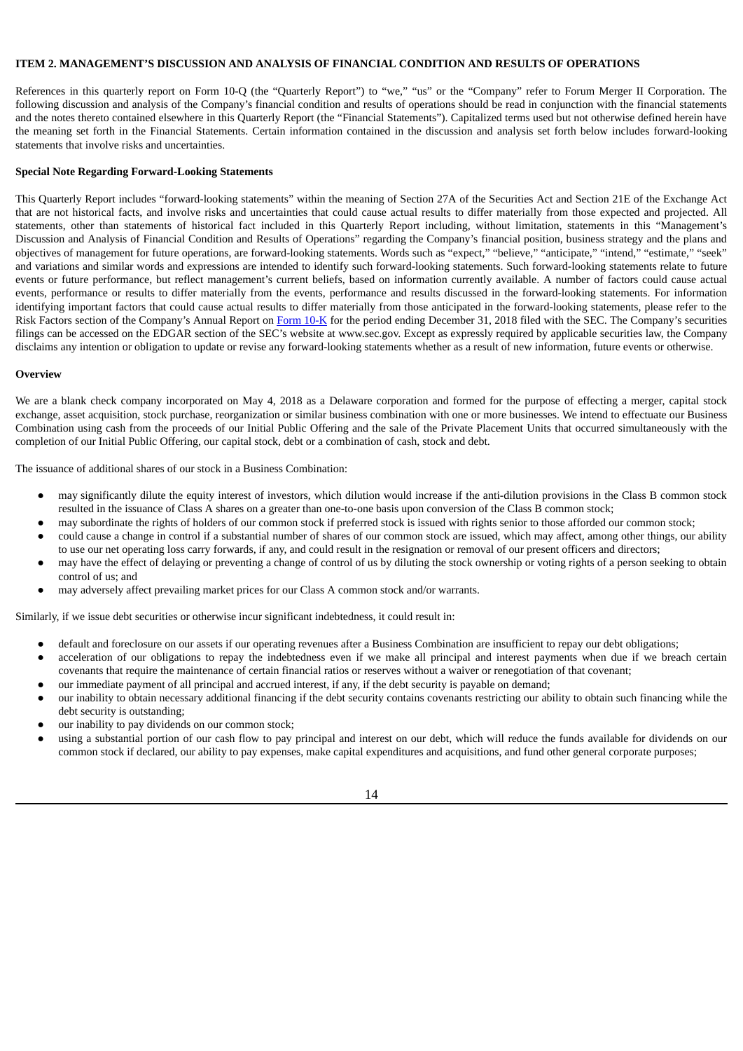## **ITEM 2. MANAGEMENT'S DISCUSSION AND ANALYSIS OF FINANCIAL CONDITION AND RESULTS OF OPERATIONS**

References in this quarterly report on Form 10-Q (the "Quarterly Report") to "we," "us" or the "Company" refer to Forum Merger II Corporation. The following discussion and analysis of the Company's financial condition and results of operations should be read in conjunction with the financial statements and the notes thereto contained elsewhere in this Quarterly Report (the "Financial Statements"). Capitalized terms used but not otherwise defined herein have the meaning set forth in the Financial Statements. Certain information contained in the discussion and analysis set forth below includes forward-looking statements that involve risks and uncertainties.

## **Special Note Regarding Forward-Looking Statements**

This Quarterly Report includes "forward-looking statements" within the meaning of Section 27A of the Securities Act and Section 21E of the Exchange Act that are not historical facts, and involve risks and uncertainties that could cause actual results to differ materially from those expected and projected. All statements, other than statements of historical fact included in this Quarterly Report including, without limitation, statements in this "Management's Discussion and Analysis of Financial Condition and Results of Operations" regarding the Company's financial position, business strategy and the plans and objectives of management for future operations, are forward-looking statements. Words such as "expect," "believe," "anticipate," "intend," "estimate," "seek" and variations and similar words and expressions are intended to identify such forward-looking statements. Such forward-looking statements relate to future events or future performance, but reflect management's current beliefs, based on information currently available. A number of factors could cause actual events, performance or results to differ materially from the events, performance and results discussed in the forward-looking statements. For information identifying important factors that could cause actual results to differ materially from those anticipated in the forward-looking statements, please refer to the Risk Factors section of the Company's Annual Report on [Form](http://www.sec.gov/Archives/edgar/data/1741231/000121390019004859/f10k2018_forummerger2.htm) 10-K for the period ending December 31, 2018 filed with the SEC. The Company's securities filings can be accessed on the EDGAR section of the SEC's website at www.sec.gov. Except as expressly required by applicable securities law, the Company disclaims any intention or obligation to update or revise any forward-looking statements whether as a result of new information, future events or otherwise.

#### **Overview**

We are a blank check company incorporated on May 4, 2018 as a Delaware corporation and formed for the purpose of effecting a merger, capital stock exchange, asset acquisition, stock purchase, reorganization or similar business combination with one or more businesses. We intend to effectuate our Business Combination using cash from the proceeds of our Initial Public Offering and the sale of the Private Placement Units that occurred simultaneously with the completion of our Initial Public Offering, our capital stock, debt or a combination of cash, stock and debt.

The issuance of additional shares of our stock in a Business Combination:

- may significantly dilute the equity interest of investors, which dilution would increase if the anti-dilution provisions in the Class B common stock resulted in the issuance of Class A shares on a greater than one-to-one basis upon conversion of the Class B common stock;
- may subordinate the rights of holders of our common stock if preferred stock is issued with rights senior to those afforded our common stock;
- could cause a change in control if a substantial number of shares of our common stock are issued, which may affect, among other things, our ability to use our net operating loss carry forwards, if any, and could result in the resignation or removal of our present officers and directors;
- may have the effect of delaying or preventing a change of control of us by diluting the stock ownership or voting rights of a person seeking to obtain control of us; and
- may adversely affect prevailing market prices for our Class A common stock and/or warrants.

Similarly, if we issue debt securities or otherwise incur significant indebtedness, it could result in:

- default and foreclosure on our assets if our operating revenues after a Business Combination are insufficient to repay our debt obligations;
- acceleration of our obligations to repay the indebtedness even if we make all principal and interest payments when due if we breach certain covenants that require the maintenance of certain financial ratios or reserves without a waiver or renegotiation of that covenant;
- our immediate payment of all principal and accrued interest, if any, if the debt security is payable on demand;
- our inability to obtain necessary additional financing if the debt security contains covenants restricting our ability to obtain such financing while the debt security is outstanding;
- our inability to pay dividends on our common stock;
- using a substantial portion of our cash flow to pay principal and interest on our debt, which will reduce the funds available for dividends on our common stock if declared, our ability to pay expenses, make capital expenditures and acquisitions, and fund other general corporate purposes;

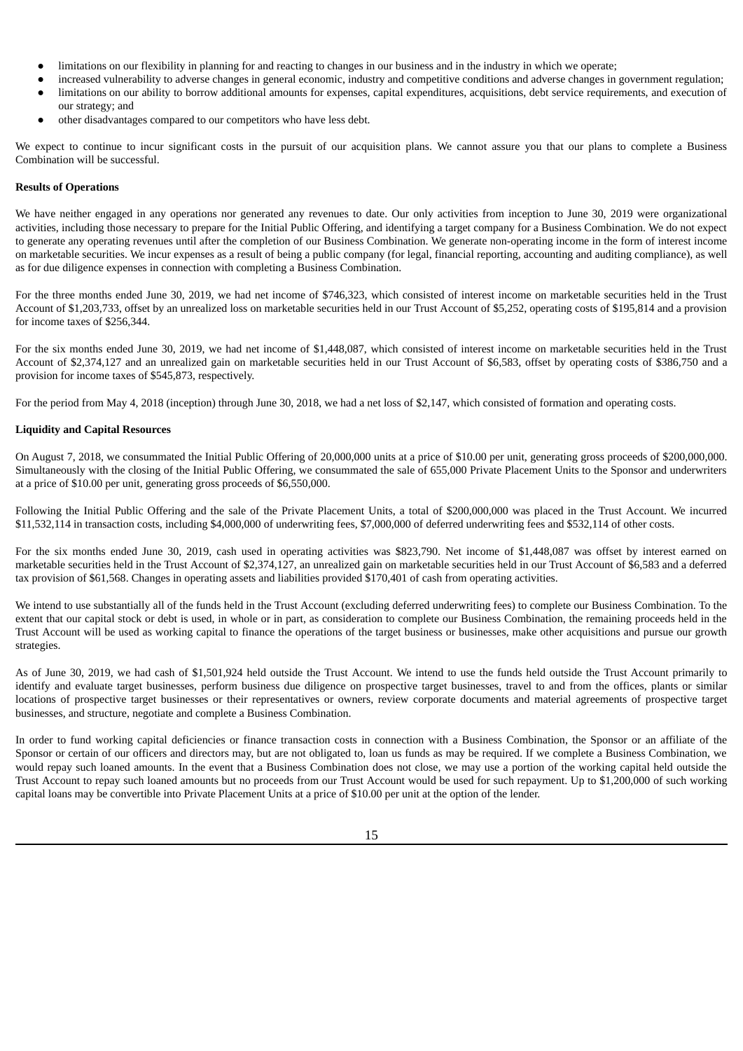- limitations on our flexibility in planning for and reacting to changes in our business and in the industry in which we operate;
- increased vulnerability to adverse changes in general economic, industry and competitive conditions and adverse changes in government regulation; ● limitations on our ability to borrow additional amounts for expenses, capital expenditures, acquisitions, debt service requirements, and execution of our strategy; and
- other disadvantages compared to our competitors who have less debt.

We expect to continue to incur significant costs in the pursuit of our acquisition plans. We cannot assure you that our plans to complete a Business Combination will be successful.

### **Results of Operations**

We have neither engaged in any operations nor generated any revenues to date. Our only activities from inception to June 30, 2019 were organizational activities, including those necessary to prepare for the Initial Public Offering, and identifying a target company for a Business Combination. We do not expect to generate any operating revenues until after the completion of our Business Combination. We generate non-operating income in the form of interest income on marketable securities. We incur expenses as a result of being a public company (for legal, financial reporting, accounting and auditing compliance), as well as for due diligence expenses in connection with completing a Business Combination.

For the three months ended June 30, 2019, we had net income of \$746,323, which consisted of interest income on marketable securities held in the Trust Account of \$1,203,733, offset by an unrealized loss on marketable securities held in our Trust Account of \$5,252, operating costs of \$195,814 and a provision for income taxes of \$256,344.

For the six months ended June 30, 2019, we had net income of \$1,448,087, which consisted of interest income on marketable securities held in the Trust Account of \$2,374,127 and an unrealized gain on marketable securities held in our Trust Account of \$6,583, offset by operating costs of \$386,750 and a provision for income taxes of \$545,873, respectively.

For the period from May 4, 2018 (inception) through June 30, 2018, we had a net loss of \$2,147, which consisted of formation and operating costs.

## **Liquidity and Capital Resources**

On August 7, 2018, we consummated the Initial Public Offering of 20,000,000 units at a price of \$10.00 per unit, generating gross proceeds of \$200,000,000. Simultaneously with the closing of the Initial Public Offering, we consummated the sale of 655,000 Private Placement Units to the Sponsor and underwriters at a price of \$10.00 per unit, generating gross proceeds of \$6,550,000.

Following the Initial Public Offering and the sale of the Private Placement Units, a total of \$200,000,000 was placed in the Trust Account. We incurred \$11,532,114 in transaction costs, including \$4,000,000 of underwriting fees, \$7,000,000 of deferred underwriting fees and \$532,114 of other costs.

For the six months ended June 30, 2019, cash used in operating activities was \$823,790. Net income of \$1,448,087 was offset by interest earned on marketable securities held in the Trust Account of \$2,374,127, an unrealized gain on marketable securities held in our Trust Account of \$6,583 and a deferred tax provision of \$61,568. Changes in operating assets and liabilities provided \$170,401 of cash from operating activities.

We intend to use substantially all of the funds held in the Trust Account (excluding deferred underwriting fees) to complete our Business Combination. To the extent that our capital stock or debt is used, in whole or in part, as consideration to complete our Business Combination, the remaining proceeds held in the Trust Account will be used as working capital to finance the operations of the target business or businesses, make other acquisitions and pursue our growth strategies.

As of June 30, 2019, we had cash of \$1,501,924 held outside the Trust Account. We intend to use the funds held outside the Trust Account primarily to identify and evaluate target businesses, perform business due diligence on prospective target businesses, travel to and from the offices, plants or similar locations of prospective target businesses or their representatives or owners, review corporate documents and material agreements of prospective target businesses, and structure, negotiate and complete a Business Combination.

In order to fund working capital deficiencies or finance transaction costs in connection with a Business Combination, the Sponsor or an affiliate of the Sponsor or certain of our officers and directors may, but are not obligated to, loan us funds as may be required. If we complete a Business Combination, we would repay such loaned amounts. In the event that a Business Combination does not close, we may use a portion of the working capital held outside the Trust Account to repay such loaned amounts but no proceeds from our Trust Account would be used for such repayment. Up to \$1,200,000 of such working capital loans may be convertible into Private Placement Units at a price of \$10.00 per unit at the option of the lender.

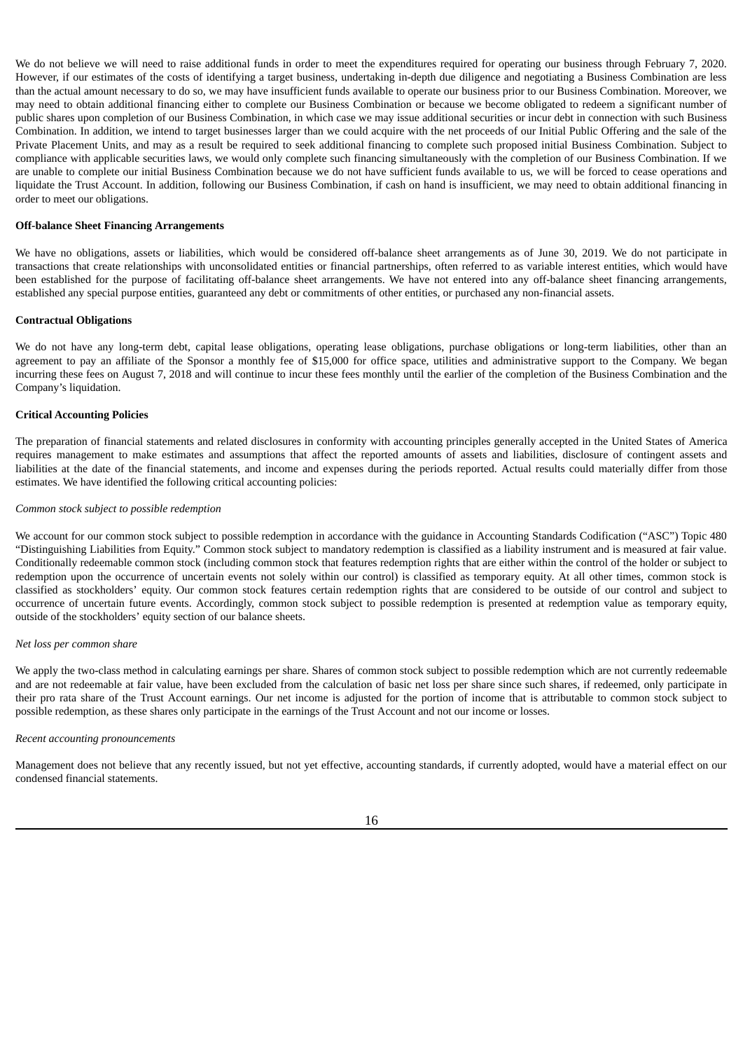We do not believe we will need to raise additional funds in order to meet the expenditures required for operating our business through February 7, 2020. However, if our estimates of the costs of identifying a target business, undertaking in-depth due diligence and negotiating a Business Combination are less than the actual amount necessary to do so, we may have insufficient funds available to operate our business prior to our Business Combination. Moreover, we may need to obtain additional financing either to complete our Business Combination or because we become obligated to redeem a significant number of public shares upon completion of our Business Combination, in which case we may issue additional securities or incur debt in connection with such Business Combination. In addition, we intend to target businesses larger than we could acquire with the net proceeds of our Initial Public Offering and the sale of the Private Placement Units, and may as a result be required to seek additional financing to complete such proposed initial Business Combination. Subject to compliance with applicable securities laws, we would only complete such financing simultaneously with the completion of our Business Combination. If we are unable to complete our initial Business Combination because we do not have sufficient funds available to us, we will be forced to cease operations and liquidate the Trust Account. In addition, following our Business Combination, if cash on hand is insufficient, we may need to obtain additional financing in order to meet our obligations.

#### **Off-balance Sheet Financing Arrangements**

We have no obligations, assets or liabilities, which would be considered off-balance sheet arrangements as of June 30, 2019. We do not participate in transactions that create relationships with unconsolidated entities or financial partnerships, often referred to as variable interest entities, which would have been established for the purpose of facilitating off-balance sheet arrangements. We have not entered into any off-balance sheet financing arrangements, established any special purpose entities, guaranteed any debt or commitments of other entities, or purchased any non-financial assets.

### **Contractual Obligations**

We do not have any long-term debt, capital lease obligations, operating lease obligations, purchase obligations or long-term liabilities, other than an agreement to pay an affiliate of the Sponsor a monthly fee of \$15,000 for office space, utilities and administrative support to the Company. We began incurring these fees on August 7, 2018 and will continue to incur these fees monthly until the earlier of the completion of the Business Combination and the Company's liquidation.

### **Critical Accounting Policies**

The preparation of financial statements and related disclosures in conformity with accounting principles generally accepted in the United States of America requires management to make estimates and assumptions that affect the reported amounts of assets and liabilities, disclosure of contingent assets and liabilities at the date of the financial statements, and income and expenses during the periods reported. Actual results could materially differ from those estimates. We have identified the following critical accounting policies:

#### *Common stock subject to possible redemption*

We account for our common stock subject to possible redemption in accordance with the guidance in Accounting Standards Codification ("ASC") Topic 480 "Distinguishing Liabilities from Equity." Common stock subject to mandatory redemption is classified as a liability instrument and is measured at fair value. Conditionally redeemable common stock (including common stock that features redemption rights that are either within the control of the holder or subject to redemption upon the occurrence of uncertain events not solely within our control) is classified as temporary equity. At all other times, common stock is classified as stockholders' equity. Our common stock features certain redemption rights that are considered to be outside of our control and subject to occurrence of uncertain future events. Accordingly, common stock subject to possible redemption is presented at redemption value as temporary equity, outside of the stockholders' equity section of our balance sheets.

#### *Net loss per common share*

We apply the two-class method in calculating earnings per share. Shares of common stock subject to possible redemption which are not currently redeemable and are not redeemable at fair value, have been excluded from the calculation of basic net loss per share since such shares, if redeemed, only participate in their pro rata share of the Trust Account earnings. Our net income is adjusted for the portion of income that is attributable to common stock subject to possible redemption, as these shares only participate in the earnings of the Trust Account and not our income or losses.

#### *Recent accounting pronouncements*

Management does not believe that any recently issued, but not yet effective, accounting standards, if currently adopted, would have a material effect on our condensed financial statements.

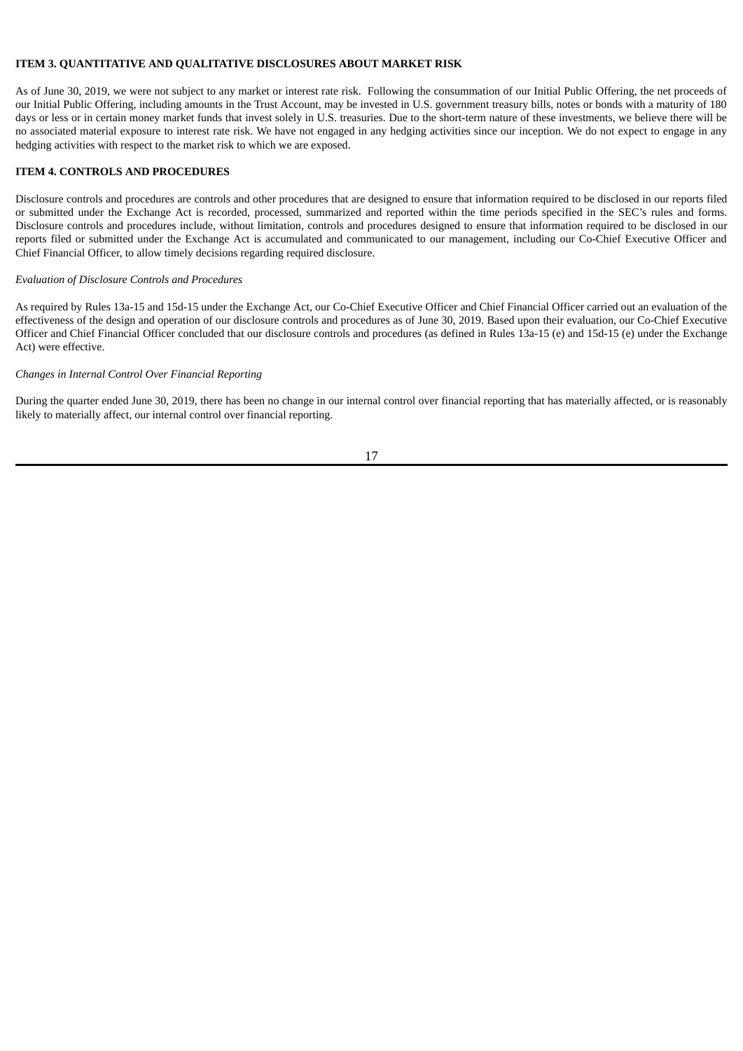## **ITEM 3. QUANTITATIVE AND QUALITATIVE DISCLOSURES ABOUT MARKET RISK**

As of June 30, 2019, we were not subject to any market or interest rate risk. Following the consummation of our Initial Public Offering, the net proceeds of our Initial Public Offering, including amounts in the Trust Account, may be invested in U.S. government treasury bills, notes or bonds with a maturity of 180 days or less or in certain money market funds that invest solely in U.S. treasuries. Due to the short-term nature of these investments, we believe there will be no associated material exposure to interest rate risk. We have not engaged in any hedging activities since our inception. We do not expect to engage in any hedging activities with respect to the market risk to which we are exposed.

## **ITEM 4. CONTROLS AND PROCEDURES**

Disclosure controls and procedures are controls and other procedures that are designed to ensure that information required to be disclosed in our reports filed or submitted under the Exchange Act is recorded, processed, summarized and reported within the time periods specified in the SEC's rules and forms. Disclosure controls and procedures include, without limitation, controls and procedures designed to ensure that information required to be disclosed in our reports filed or submitted under the Exchange Act is accumulated and communicated to our management, including our Co-Chief Executive Officer and Chief Financial Officer, to allow timely decisions regarding required disclosure.

#### *Evaluation of Disclosure Controls and Procedures*

As required by Rules 13a-15 and 15d-15 under the Exchange Act, our Co-Chief Executive Officer and Chief Financial Officer carried out an evaluation of the effectiveness of the design and operation of our disclosure controls and procedures as of June 30, 2019. Based upon their evaluation, our Co-Chief Executive Officer and Chief Financial Officer concluded that our disclosure controls and procedures (as defined in Rules 13a-15 (e) and 15d-15 (e) under the Exchange Act) were effective.

### *Changes in Internal Control Over Financial Reporting*

During the quarter ended June 30, 2019, there has been no change in our internal control over financial reporting that has materially affected, or is reasonably likely to materially affect, our internal control over financial reporting.

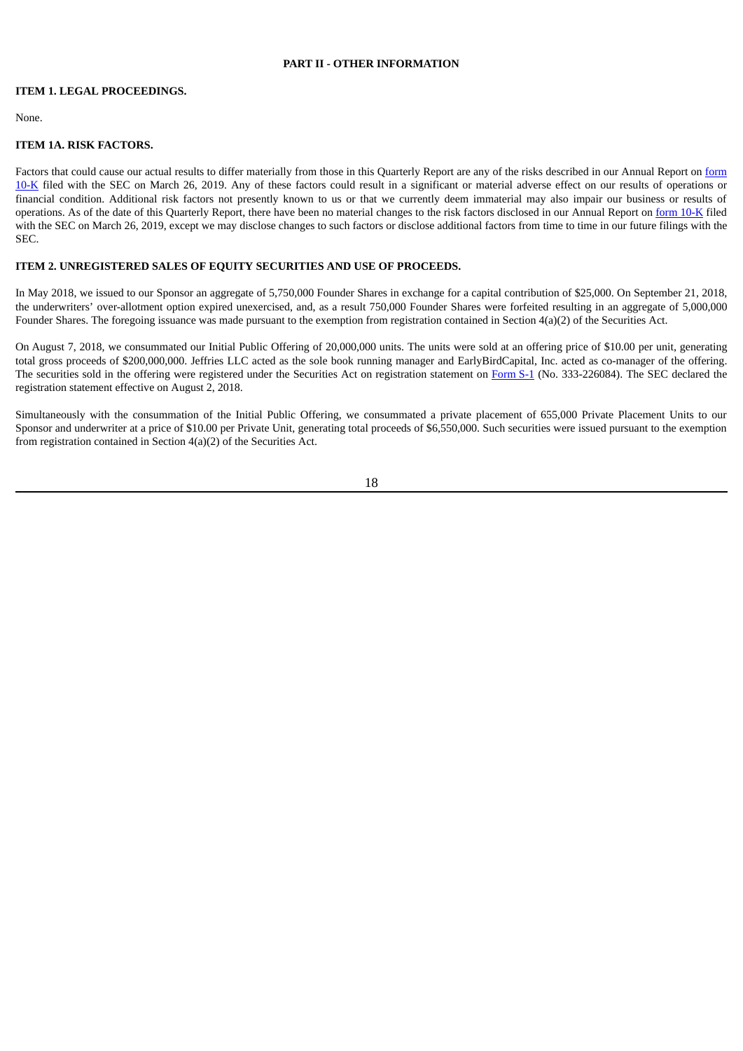## **PART II - OTHER INFORMATION**

### **ITEM 1. LEGAL PROCEEDINGS.**

None.

## **ITEM 1A. RISK FACTORS.**

Factors that could cause our actual results to differ materially from those in this Quarterly Report are any of the risks described in our Annual Report on form 10-K filed with the SEC on March 26, 2019. Any of these factors could result in a [significant](http://www.sec.gov/Archives/edgar/data/1741231/000121390019004859/f10k2018_forummerger2.htm) or material adverse effect on our results of operations or financial condition. Additional risk factors not presently known to us or that we currently deem immaterial may also impair our business or results of operations. As of the date of this Quarterly Report, there have been no material changes to the risk factors disclosed in our Annual Report on form [10-K](http://www.sec.gov/Archives/edgar/data/1741231/000121390019004859/f10k2018_forummerger2.htm) filed with the SEC on March 26, 2019, except we may disclose changes to such factors or disclose additional factors from time to time in our future filings with the SEC.

# **ITEM 2. UNREGISTERED SALES OF EQUITY SECURITIES AND USE OF PROCEEDS.**

In May 2018, we issued to our Sponsor an aggregate of 5,750,000 Founder Shares in exchange for a capital contribution of \$25,000. On September 21, 2018, the underwriters' over-allotment option expired unexercised, and, as a result 750,000 Founder Shares were forfeited resulting in an aggregate of 5,000,000 Founder Shares. The foregoing issuance was made pursuant to the exemption from registration contained in Section 4(a)(2) of the Securities Act.

On August 7, 2018, we consummated our Initial Public Offering of 20,000,000 units. The units were sold at an offering price of \$10.00 per unit, generating total gross proceeds of \$200,000,000. Jeffries LLC acted as the sole book running manager and EarlyBirdCapital, Inc. acted as co-manager of the offering. The securities sold in the offering were registered under the Securities Act on registration statement on [Form](http://www.sec.gov/Archives/edgar/data/1741231/000121390018008843/fs12018_forummerger2.htm) S-1 (No. 333-226084). The SEC declared the registration statement effective on August 2, 2018.

Simultaneously with the consummation of the Initial Public Offering, we consummated a private placement of 655,000 Private Placement Units to our Sponsor and underwriter at a price of \$10.00 per Private Unit, generating total proceeds of \$6,550,000. Such securities were issued pursuant to the exemption from registration contained in Section 4(a)(2) of the Securities Act.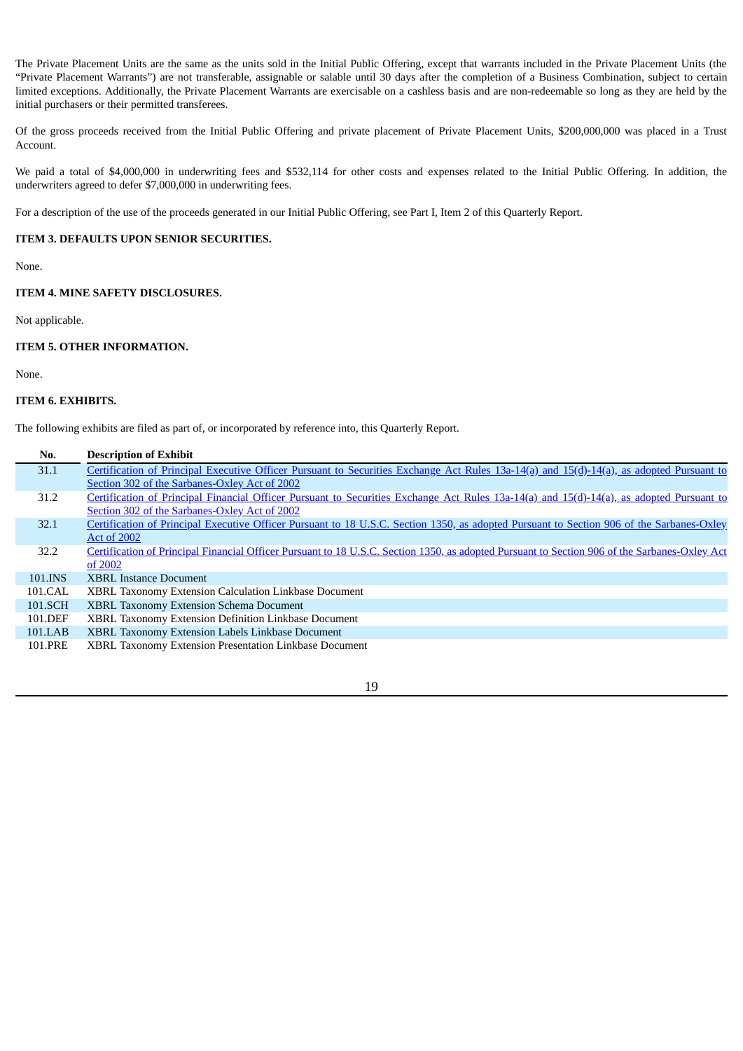The Private Placement Units are the same as the units sold in the Initial Public Offering, except that warrants included in the Private Placement Units (the "Private Placement Warrants") are not transferable, assignable or salable until 30 days after the completion of a Business Combination, subject to certain limited exceptions. Additionally, the Private Placement Warrants are exercisable on a cashless basis and are non-redeemable so long as they are held by the initial purchasers or their permitted transferees.

Of the gross proceeds received from the Initial Public Offering and private placement of Private Placement Units, \$200,000,000 was placed in a Trust Account.

We paid a total of \$4,000,000 in underwriting fees and \$532,114 for other costs and expenses related to the Initial Public Offering. In addition, the underwriters agreed to defer \$7,000,000 in underwriting fees.

For a description of the use of the proceeds generated in our Initial Public Offering, see Part I, Item 2 of this Quarterly Report.

## **ITEM 3. DEFAULTS UPON SENIOR SECURITIES.**

None.

## **ITEM 4. MINE SAFETY DISCLOSURES.**

Not applicable.

## **ITEM 5. OTHER INFORMATION.**

None.

## **ITEM 6. EXHIBITS.**

The following exhibits are filed as part of, or incorporated by reference into, this Quarterly Report.

| No.     | <b>Description of Exhibit</b>                                                                                                                 |
|---------|-----------------------------------------------------------------------------------------------------------------------------------------------|
| 31.1    | Certification of Principal Executive Officer Pursuant to Securities Exchange Act Rules 13a-14(a) and 15(d)-14(a), as adopted Pursuant to      |
|         | Section 302 of the Sarbanes-Oxley Act of 2002                                                                                                 |
| 31.2    | Certification of Principal Financial Officer Pursuant to Securities Exchange Act Rules 13a-14(a) and 15(d)-14(a), as adopted Pursuant to      |
|         | Section 302 of the Sarbanes-Oxley Act of 2002                                                                                                 |
| 32.1    | Certification of Principal Executive Officer Pursuant to 18 U.S.C. Section 1350, as adopted Pursuant to Section 906 of the Sarbanes-Oxley     |
|         | <b>Act of 2002</b>                                                                                                                            |
| 32.2    | Certification of Principal Financial Officer Pursuant to 18 U.S.C. Section 1350, as adopted Pursuant to Section 906 of the Sarbanes-Oxley Act |
|         | of 2002                                                                                                                                       |
| 101.INS | <b>XBRL Instance Document</b>                                                                                                                 |
| 101.CAL | <b>XBRL Taxonomy Extension Calculation Linkbase Document</b>                                                                                  |
| 101.SCH | <b>XBRL Taxonomy Extension Schema Document</b>                                                                                                |
| 101.DEF | XBRL Taxonomy Extension Definition Linkbase Document                                                                                          |
| 101.LAB | <b>XBRL Taxonomy Extension Labels Linkbase Document</b>                                                                                       |
| 101.PRE | XBRL Taxonomy Extension Presentation Linkbase Document                                                                                        |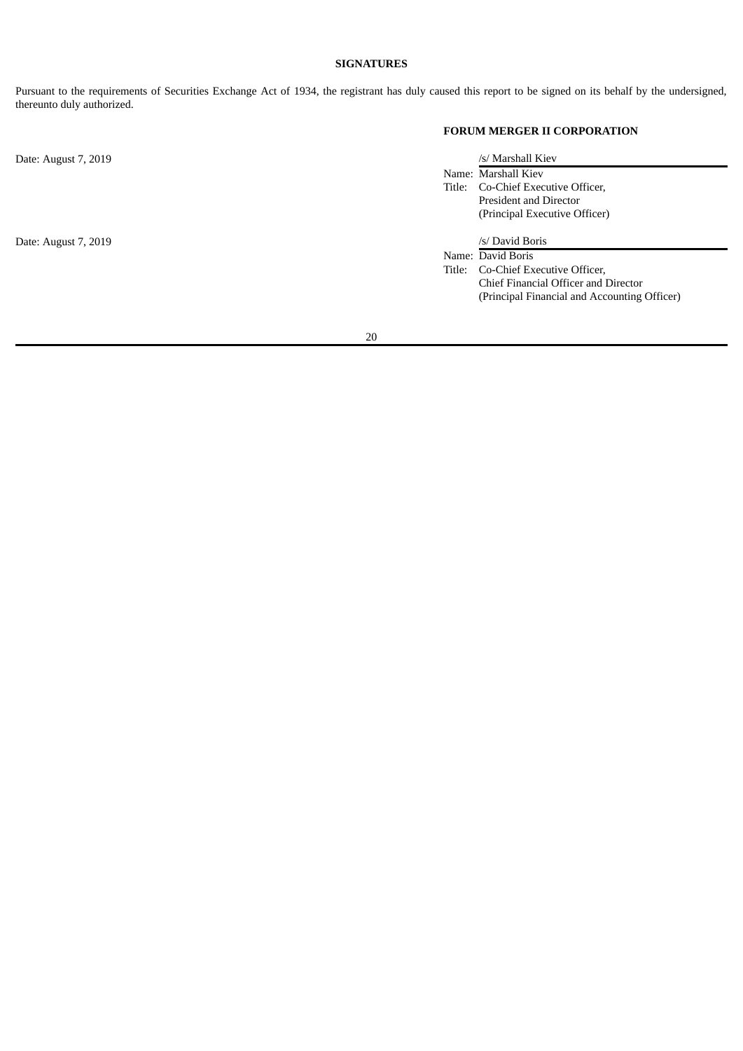## **SIGNATURES**

Pursuant to the requirements of Securities Exchange Act of 1934, the registrant has duly caused this report to be signed on its behalf by the undersigned, thereunto duly authorized.

# **FORUM MERGER II CORPORATION**

| Date: August 7, 2019 |        | /s/ Marshall Kiev                            |
|----------------------|--------|----------------------------------------------|
|                      |        | Name: Marshall Kiev                          |
|                      | Title: | Co-Chief Executive Officer,                  |
|                      |        | President and Director                       |
|                      |        | (Principal Executive Officer)                |
| Date: August 7, 2019 |        | /s/ David Boris                              |
|                      |        | Name: David Boris                            |
|                      |        | Title: Co-Chief Executive Officer,           |
|                      |        | Chief Financial Officer and Director         |
|                      |        | (Principal Financial and Accounting Officer) |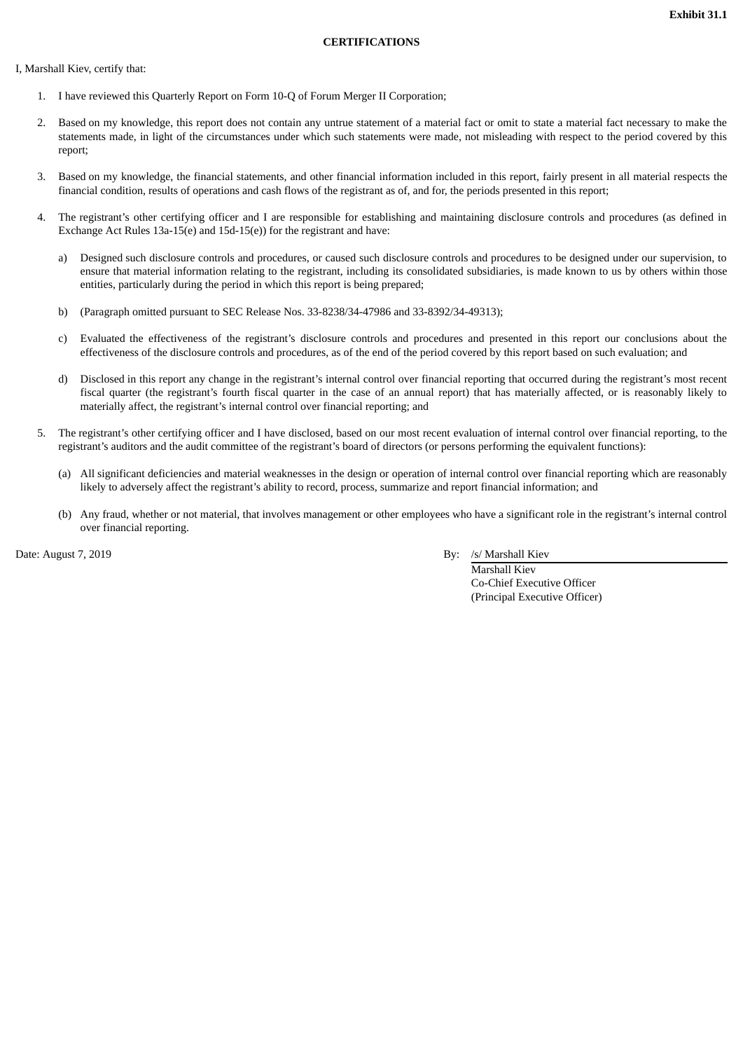## **CERTIFICATIONS**

I, Marshall Kiev, certify that:

- 1. I have reviewed this Quarterly Report on Form 10-Q of Forum Merger II Corporation;
- 2. Based on my knowledge, this report does not contain any untrue statement of a material fact or omit to state a material fact necessary to make the statements made, in light of the circumstances under which such statements were made, not misleading with respect to the period covered by this report;
- 3. Based on my knowledge, the financial statements, and other financial information included in this report, fairly present in all material respects the financial condition, results of operations and cash flows of the registrant as of, and for, the periods presented in this report;
- 4. The registrant's other certifying officer and I are responsible for establishing and maintaining disclosure controls and procedures (as defined in Exchange Act Rules 13a-15(e) and 15d-15(e)) for the registrant and have:
	- a) Designed such disclosure controls and procedures, or caused such disclosure controls and procedures to be designed under our supervision, to ensure that material information relating to the registrant, including its consolidated subsidiaries, is made known to us by others within those entities, particularly during the period in which this report is being prepared;
	- b) (Paragraph omitted pursuant to SEC Release Nos. 33-8238/34-47986 and 33-8392/34-49313);
	- c) Evaluated the effectiveness of the registrant's disclosure controls and procedures and presented in this report our conclusions about the effectiveness of the disclosure controls and procedures, as of the end of the period covered by this report based on such evaluation; and
	- d) Disclosed in this report any change in the registrant's internal control over financial reporting that occurred during the registrant's most recent fiscal quarter (the registrant's fourth fiscal quarter in the case of an annual report) that has materially affected, or is reasonably likely to materially affect, the registrant's internal control over financial reporting; and
- 5. The registrant's other certifying officer and I have disclosed, based on our most recent evaluation of internal control over financial reporting, to the registrant's auditors and the audit committee of the registrant's board of directors (or persons performing the equivalent functions):
	- (a) All significant deficiencies and material weaknesses in the design or operation of internal control over financial reporting which are reasonably likely to adversely affect the registrant's ability to record, process, summarize and report financial information; and
	- (b) Any fraud, whether or not material, that involves management or other employees who have a significant role in the registrant's internal control over financial reporting.

Date: August 7, 2019 By: /s/ Marshall Kiev

Marshall Kiev Co-Chief Executive Officer (Principal Executive Officer)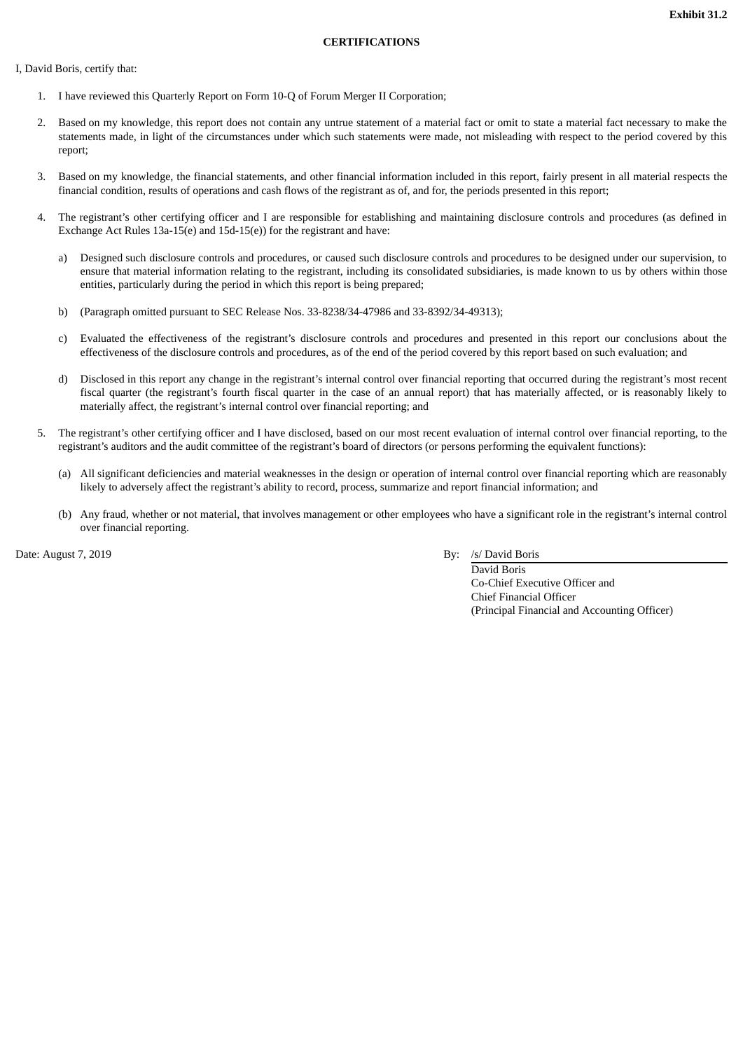## **CERTIFICATIONS**

I, David Boris, certify that:

- 1. I have reviewed this Quarterly Report on Form 10-Q of Forum Merger II Corporation;
- 2. Based on my knowledge, this report does not contain any untrue statement of a material fact or omit to state a material fact necessary to make the statements made, in light of the circumstances under which such statements were made, not misleading with respect to the period covered by this report;
- 3. Based on my knowledge, the financial statements, and other financial information included in this report, fairly present in all material respects the financial condition, results of operations and cash flows of the registrant as of, and for, the periods presented in this report;
- 4. The registrant's other certifying officer and I are responsible for establishing and maintaining disclosure controls and procedures (as defined in Exchange Act Rules 13a-15(e) and 15d-15(e)) for the registrant and have:
	- a) Designed such disclosure controls and procedures, or caused such disclosure controls and procedures to be designed under our supervision, to ensure that material information relating to the registrant, including its consolidated subsidiaries, is made known to us by others within those entities, particularly during the period in which this report is being prepared;
	- b) (Paragraph omitted pursuant to SEC Release Nos. 33-8238/34-47986 and 33-8392/34-49313);
	- c) Evaluated the effectiveness of the registrant's disclosure controls and procedures and presented in this report our conclusions about the effectiveness of the disclosure controls and procedures, as of the end of the period covered by this report based on such evaluation; and
	- d) Disclosed in this report any change in the registrant's internal control over financial reporting that occurred during the registrant's most recent fiscal quarter (the registrant's fourth fiscal quarter in the case of an annual report) that has materially affected, or is reasonably likely to materially affect, the registrant's internal control over financial reporting; and
- 5. The registrant's other certifying officer and I have disclosed, based on our most recent evaluation of internal control over financial reporting, to the registrant's auditors and the audit committee of the registrant's board of directors (or persons performing the equivalent functions):
	- (a) All significant deficiencies and material weaknesses in the design or operation of internal control over financial reporting which are reasonably likely to adversely affect the registrant's ability to record, process, summarize and report financial information; and
	- (b) Any fraud, whether or not material, that involves management or other employees who have a significant role in the registrant's internal control over financial reporting.

Date: August 7, 2019 By: /s/ David Boris By: /s/ David Boris

David Boris Co-Chief Executive Officer and Chief Financial Officer (Principal Financial and Accounting Officer)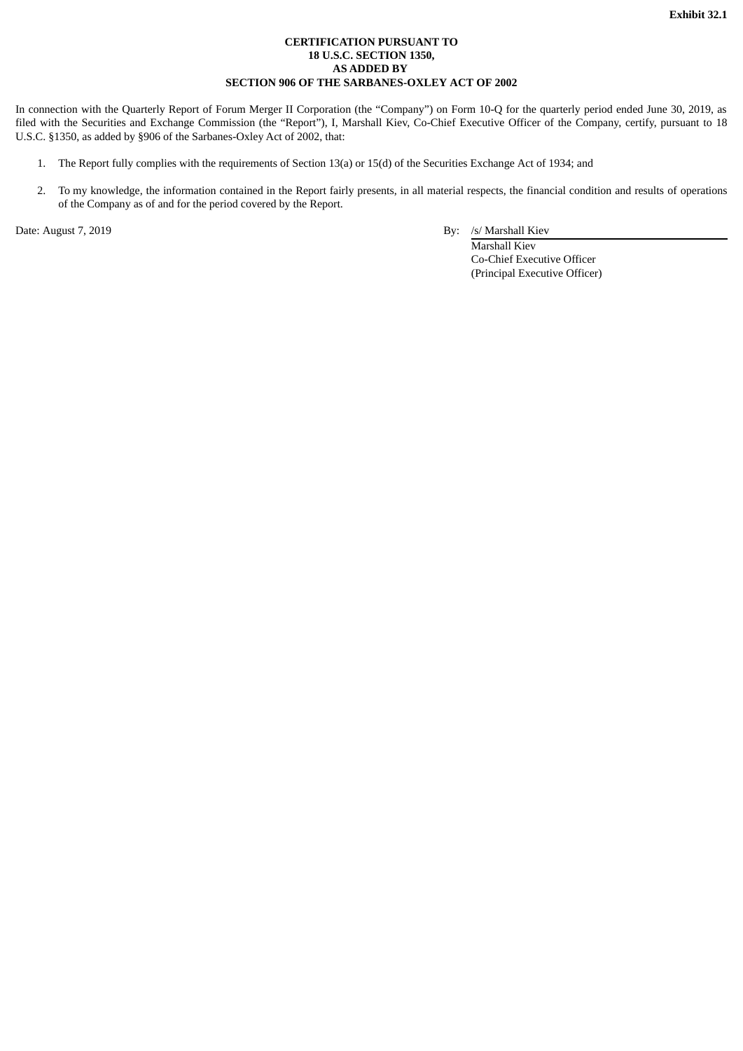## **CERTIFICATION PURSUANT TO 18 U.S.C. SECTION 1350, AS ADDED BY SECTION 906 OF THE SARBANES-OXLEY ACT OF 2002**

In connection with the Quarterly Report of Forum Merger II Corporation (the "Company") on Form 10-Q for the quarterly period ended June 30, 2019, as filed with the Securities and Exchange Commission (the "Report"), I, Marshall Kiev, Co-Chief Executive Officer of the Company, certify, pursuant to 18 U.S.C. §1350, as added by §906 of the Sarbanes-Oxley Act of 2002, that:

- 1. The Report fully complies with the requirements of Section 13(a) or 15(d) of the Securities Exchange Act of 1934; and
- 2. To my knowledge, the information contained in the Report fairly presents, in all material respects, the financial condition and results of operations of the Company as of and for the period covered by the Report.

Date: August 7, 2019 **By:** /s/ Marshall Kiev

Marshall Kiev Co-Chief Executive Officer (Principal Executive Officer)